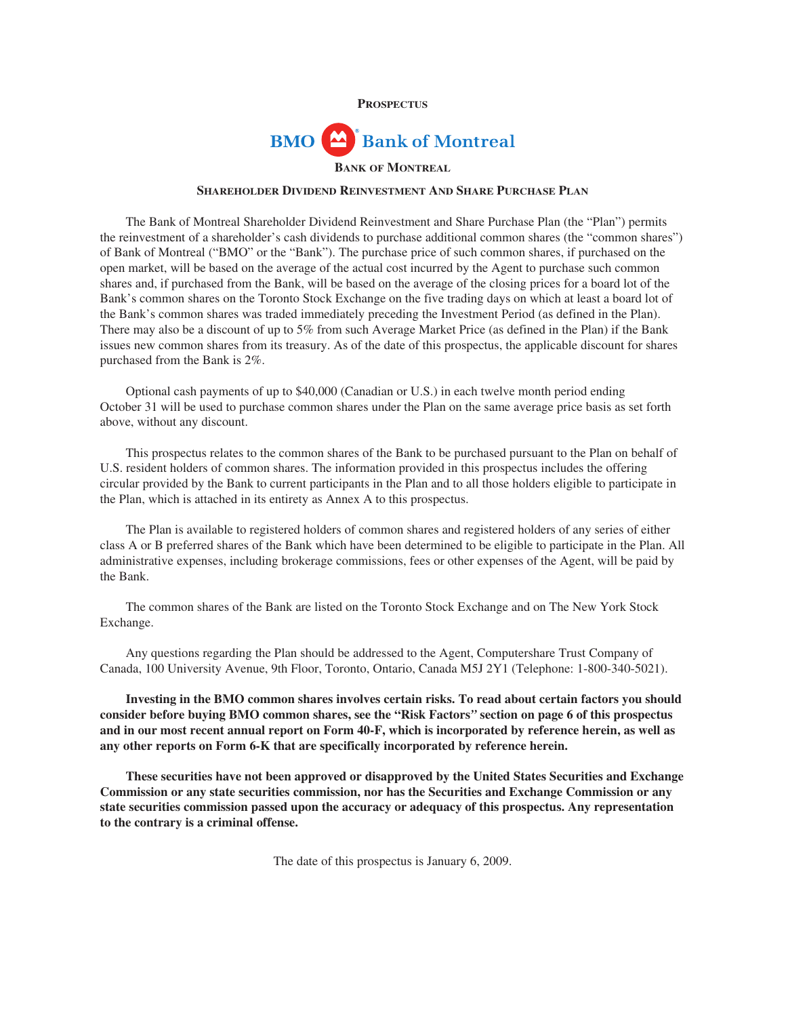

# **BMO Bank of Montreal BANK OF MONTREAL**

# **SHAREHOLDER DIVIDEND REINVESTMENT AND SHARE PURCHASE PLAN**

The Bank of Montreal Shareholder Dividend Reinvestment and Share Purchase Plan (the "Plan") permits the reinvestment of a shareholder's cash dividends to purchase additional common shares (the "common shares") of Bank of Montreal ("BMO" or the "Bank"). The purchase price of such common shares, if purchased on the open market, will be based on the average of the actual cost incurred by the Agent to purchase such common shares and, if purchased from the Bank, will be based on the average of the closing prices for a board lot of the Bank's common shares on the Toronto Stock Exchange on the five trading days on which at least a board lot of the Bank's common shares was traded immediately preceding the Investment Period (as defined in the Plan). There may also be a discount of up to 5% from such Average Market Price (as defined in the Plan) if the Bank issues new common shares from its treasury. As of the date of this prospectus, the applicable discount for shares purchased from the Bank is 2%.

Optional cash payments of up to \$40,000 (Canadian or U.S.) in each twelve month period ending October 31 will be used to purchase common shares under the Plan on the same average price basis as set forth above, without any discount.

This prospectus relates to the common shares of the Bank to be purchased pursuant to the Plan on behalf of U.S. resident holders of common shares. The information provided in this prospectus includes the offering circular provided by the Bank to current participants in the Plan and to all those holders eligible to participate in the Plan, which is attached in its entirety as Annex A to this prospectus.

The Plan is available to registered holders of common shares and registered holders of any series of either class A or B preferred shares of the Bank which have been determined to be eligible to participate in the Plan. All administrative expenses, including brokerage commissions, fees or other expenses of the Agent, will be paid by the Bank.

The common shares of the Bank are listed on the Toronto Stock Exchange and on The New York Stock Exchange.

Any questions regarding the Plan should be addressed to the Agent, Computershare Trust Company of Canada, 100 University Avenue, 9th Floor, Toronto, Ontario, Canada M5J 2Y1 (Telephone: 1-800-340-5021).

**Investing in the BMO common shares involves certain risks. To read about certain factors you should consider before buying BMO common shares, see the "Risk Factors***"* **section on page 6 of this prospectus and in our most recent annual report on Form 40-F, which is incorporated by reference herein, as well as any other reports on Form 6-K that are specifically incorporated by reference herein.**

**These securities have not been approved or disapproved by the United States Securities and Exchange Commission or any state securities commission, nor has the Securities and Exchange Commission or any state securities commission passed upon the accuracy or adequacy of this prospectus. Any representation to the contrary is a criminal offense.**

The date of this prospectus is January 6, 2009.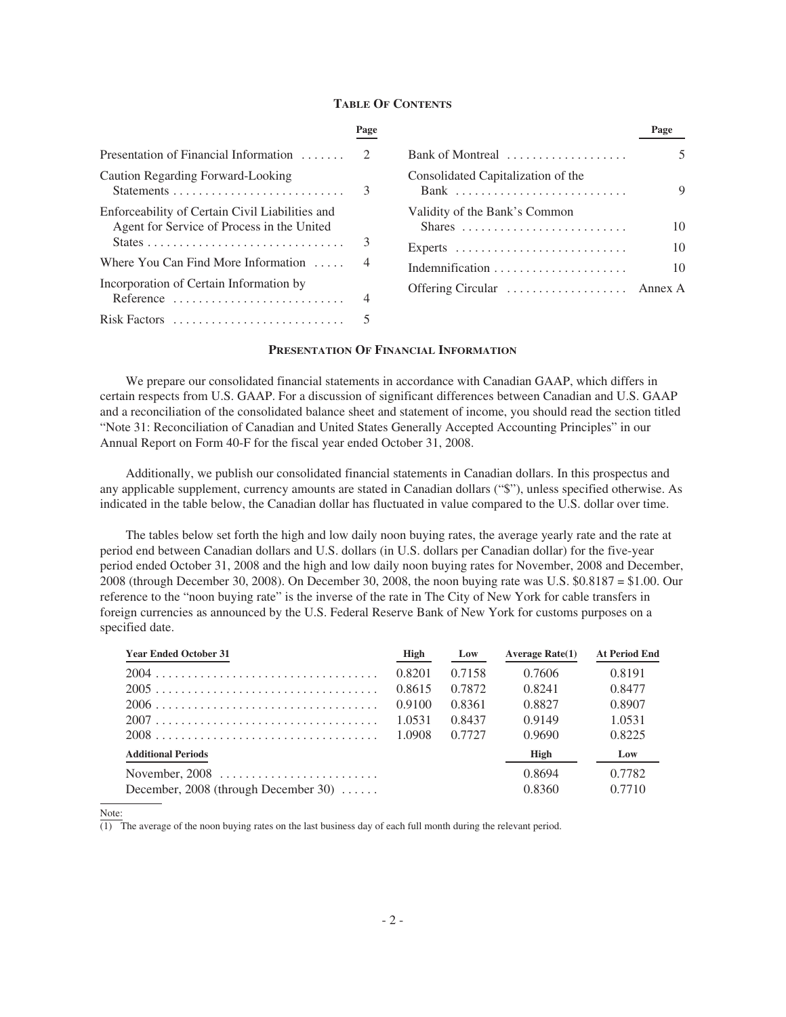### **TABLE OF CONTENTS**

|                                                                                                         | Page |                                                                   | Page |
|---------------------------------------------------------------------------------------------------------|------|-------------------------------------------------------------------|------|
| Presentation of Financial Information $\dots\dots$                                                      |      | Bank of Montreal                                                  | 5    |
| Caution Regarding Forward-Looking                                                                       | 3    | Consolidated Capitalization of the                                | 9    |
| Enforceability of Certain Civil Liabilities and<br>Agent for Service of Process in the United           |      | Validity of the Bank's Common<br>Shares                           | 10   |
|                                                                                                         |      | Experts $\dots\dots\dots\dots\dots\dots\dots\dots\dots\dots\dots$ | 10   |
| Where You Can Find More Information $\dots$                                                             |      |                                                                   | 10   |
| Incorporation of Certain Information by<br>Reference $\ldots \ldots \ldots \ldots \ldots \ldots \ldots$ |      | Offering Circular  Annex A                                        |      |
| Risk Factors                                                                                            |      |                                                                   |      |

# **PRESENTATION OF FINANCIAL INFORMATION**

We prepare our consolidated financial statements in accordance with Canadian GAAP, which differs in certain respects from U.S. GAAP. For a discussion of significant differences between Canadian and U.S. GAAP and a reconciliation of the consolidated balance sheet and statement of income, you should read the section titled "Note 31: Reconciliation of Canadian and United States Generally Accepted Accounting Principles" in our Annual Report on Form 40-F for the fiscal year ended October 31, 2008.

Additionally, we publish our consolidated financial statements in Canadian dollars. In this prospectus and any applicable supplement, currency amounts are stated in Canadian dollars ("\$"), unless specified otherwise. As indicated in the table below, the Canadian dollar has fluctuated in value compared to the U.S. dollar over time.

The tables below set forth the high and low daily noon buying rates, the average yearly rate and the rate at period end between Canadian dollars and U.S. dollars (in U.S. dollars per Canadian dollar) for the five-year period ended October 31, 2008 and the high and low daily noon buying rates for November, 2008 and December, 2008 (through December 30, 2008). On December 30, 2008, the noon buying rate was U.S. \$0.8187 = \$1.00. Our reference to the "noon buying rate" is the inverse of the rate in The City of New York for cable transfers in foreign currencies as announced by the U.S. Federal Reserve Bank of New York for customs purposes on a specified date.

| <b>Year Ended October 31</b>         | High   | Low    | Average $Rate(1)$ | <b>At Period End</b> |
|--------------------------------------|--------|--------|-------------------|----------------------|
|                                      | 0.8201 | 0.7158 | 0.7606            | 0.8191               |
|                                      | 0.8615 | 0.7872 | 0.8241            | 0.8477               |
|                                      | 0.9100 | 0.8361 | 0.8827            | 0.8907               |
|                                      | 1.0531 | 0.8437 | 0.9149            | 1.0531               |
|                                      |        | 0.7727 | 0.9690            | 0.8225               |
| <b>Additional Periods</b>            |        |        | High              | Low                  |
|                                      |        |        | 0.8694            | 0.7782               |
| December, 2008 (through December 30) |        |        | 0.8360            | 0.7710               |

Note:

 $\overline{(1)}$  The average of the noon buying rates on the last business day of each full month during the relevant period.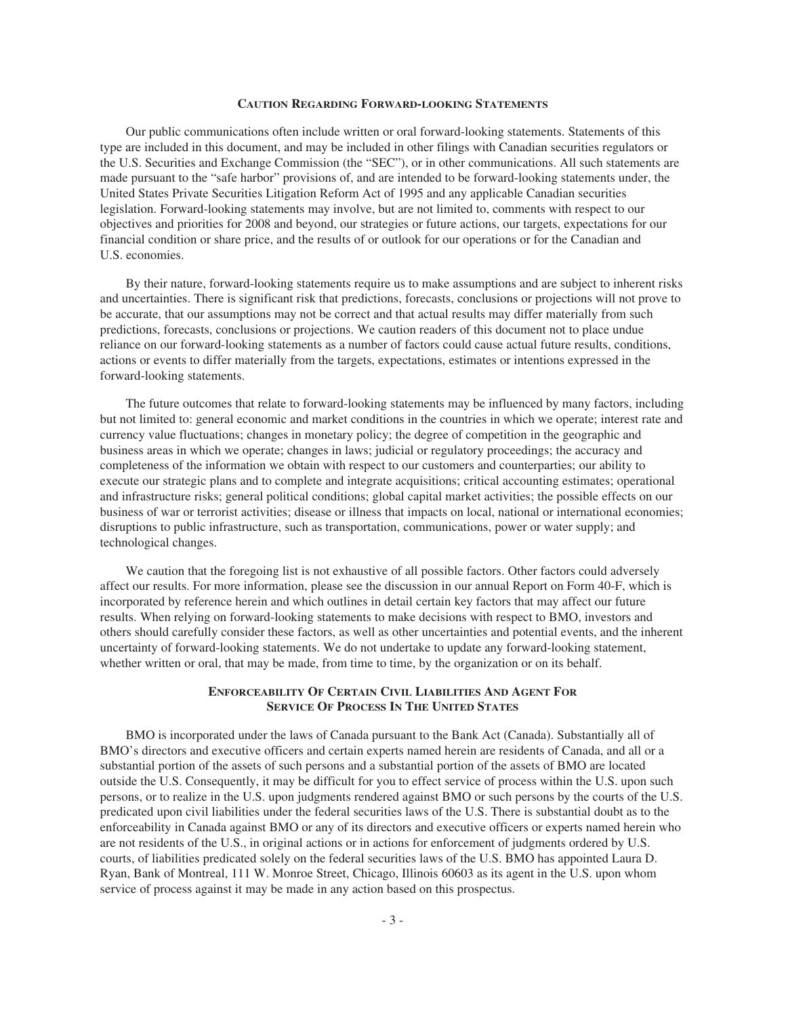### **CAUTION REGARDING FORWARD-LOOKING STATEMENTS**

Our public communications often include written or oral forward-looking statements. Statements of this type are included in this document, and may be included in other filings with Canadian securities regulators or the U.S. Securities and Exchange Commission (the "SEC"), or in other communications. All such statements are made pursuant to the "safe harbor" provisions of, and are intended to be forward-looking statements under, the United States Private Securities Litigation Reform Act of 1995 and any applicable Canadian securities legislation. Forward-looking statements may involve, but are not limited to, comments with respect to our objectives and priorities for 2008 and beyond, our strategies or future actions, our targets, expectations for our financial condition or share price, and the results of or outlook for our operations or for the Canadian and U.S. economies.

By their nature, forward-looking statements require us to make assumptions and are subject to inherent risks and uncertainties. There is significant risk that predictions, forecasts, conclusions or projections will not prove to be accurate, that our assumptions may not be correct and that actual results may differ materially from such predictions, forecasts, conclusions or projections. We caution readers of this document not to place undue reliance on our forward-looking statements as a number of factors could cause actual future results, conditions, actions or events to differ materially from the targets, expectations, estimates or intentions expressed in the forward-looking statements.

The future outcomes that relate to forward-looking statements may be influenced by many factors, including but not limited to: general economic and market conditions in the countries in which we operate; interest rate and currency value fluctuations; changes in monetary policy; the degree of competition in the geographic and business areas in which we operate; changes in laws; judicial or regulatory proceedings; the accuracy and completeness of the information we obtain with respect to our customers and counterparties; our ability to execute our strategic plans and to complete and integrate acquisitions; critical accounting estimates; operational and infrastructure risks; general political conditions; global capital market activities; the possible effects on our business of war or terrorist activities; disease or illness that impacts on local, national or international economies; disruptions to public infrastructure, such as transportation, communications, power or water supply; and technological changes.

We caution that the foregoing list is not exhaustive of all possible factors. Other factors could adversely affect our results. For more information, please see the discussion in our annual Report on Form 40-F, which is incorporated by reference herein and which outlines in detail certain key factors that may affect our future results. When relying on forward-looking statements to make decisions with respect to BMO, investors and others should carefully consider these factors, as well as other uncertainties and potential events, and the inherent uncertainty of forward-looking statements. We do not undertake to update any forward-looking statement, whether written or oral, that may be made, from time to time, by the organization or on its behalf.

# **ENFORCEABILITY OF CERTAIN CIVIL LIABILITIES AND AGENT FOR SERVICE OF PROCESS IN THE UNITED STATES**

BMO is incorporated under the laws of Canada pursuant to the Bank Act (Canada). Substantially all of BMO's directors and executive officers and certain experts named herein are residents of Canada, and all or a substantial portion of the assets of such persons and a substantial portion of the assets of BMO are located outside the U.S. Consequently, it may be difficult for you to effect service of process within the U.S. upon such persons, or to realize in the U.S. upon judgments rendered against BMO or such persons by the courts of the U.S. predicated upon civil liabilities under the federal securities laws of the U.S. There is substantial doubt as to the enforceability in Canada against BMO or any of its directors and executive officers or experts named herein who are not residents of the U.S., in original actions or in actions for enforcement of judgments ordered by U.S. courts, of liabilities predicated solely on the federal securities laws of the U.S. BMO has appointed Laura D. Ryan, Bank of Montreal, 111 W. Monroe Street, Chicago, Illinois 60603 as its agent in the U.S. upon whom service of process against it may be made in any action based on this prospectus.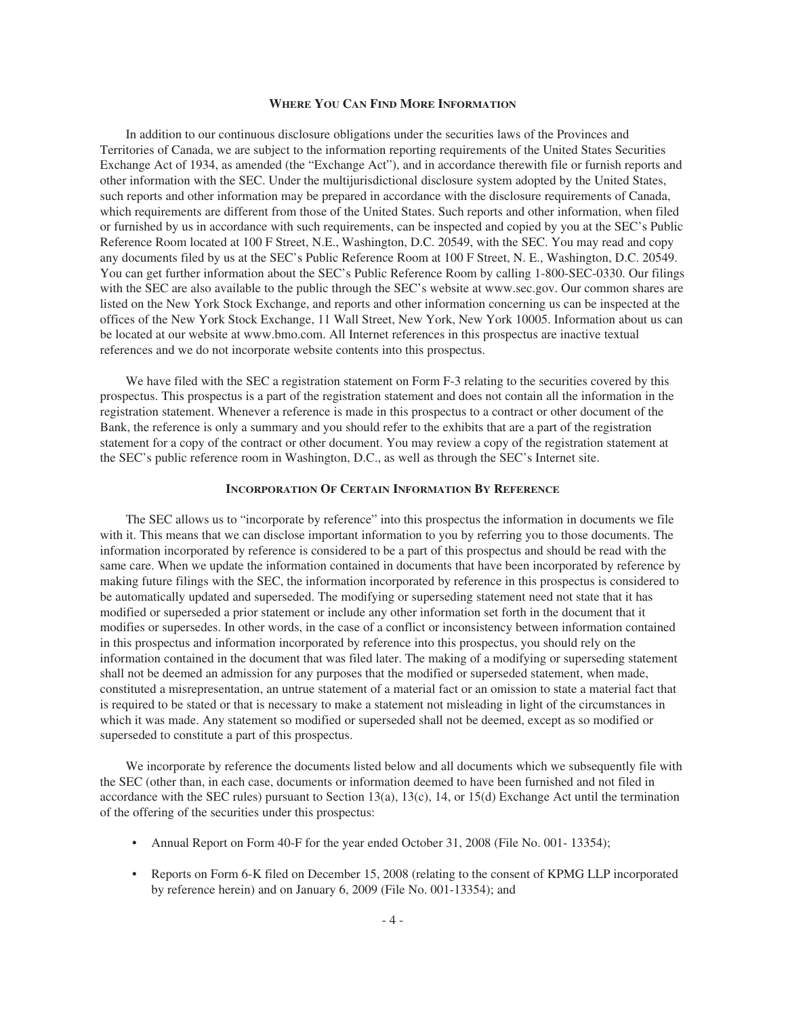#### **WHERE YOU CAN FIND MORE INFORMATION**

In addition to our continuous disclosure obligations under the securities laws of the Provinces and Territories of Canada, we are subject to the information reporting requirements of the United States Securities Exchange Act of 1934, as amended (the "Exchange Act"), and in accordance therewith file or furnish reports and other information with the SEC. Under the multijurisdictional disclosure system adopted by the United States, such reports and other information may be prepared in accordance with the disclosure requirements of Canada, which requirements are different from those of the United States. Such reports and other information, when filed or furnished by us in accordance with such requirements, can be inspected and copied by you at the SEC's Public Reference Room located at 100 F Street, N.E., Washington, D.C. 20549, with the SEC. You may read and copy any documents filed by us at the SEC's Public Reference Room at 100 F Street, N. E., Washington, D.C. 20549. You can get further information about the SEC's Public Reference Room by calling 1-800-SEC-0330. Our filings with the SEC are also available to the public through the SEC's website at www.sec.gov. Our common shares are listed on the New York Stock Exchange, and reports and other information concerning us can be inspected at the offices of the New York Stock Exchange, 11 Wall Street, New York, New York 10005. Information about us can be located at our website at www.bmo.com. All Internet references in this prospectus are inactive textual references and we do not incorporate website contents into this prospectus.

We have filed with the SEC a registration statement on Form F-3 relating to the securities covered by this prospectus. This prospectus is a part of the registration statement and does not contain all the information in the registration statement. Whenever a reference is made in this prospectus to a contract or other document of the Bank, the reference is only a summary and you should refer to the exhibits that are a part of the registration statement for a copy of the contract or other document. You may review a copy of the registration statement at the SEC's public reference room in Washington, D.C., as well as through the SEC's Internet site.

#### **INCORPORATION OF CERTAIN INFORMATION BY REFERENCE**

The SEC allows us to "incorporate by reference" into this prospectus the information in documents we file with it. This means that we can disclose important information to you by referring you to those documents. The information incorporated by reference is considered to be a part of this prospectus and should be read with the same care. When we update the information contained in documents that have been incorporated by reference by making future filings with the SEC, the information incorporated by reference in this prospectus is considered to be automatically updated and superseded. The modifying or superseding statement need not state that it has modified or superseded a prior statement or include any other information set forth in the document that it modifies or supersedes. In other words, in the case of a conflict or inconsistency between information contained in this prospectus and information incorporated by reference into this prospectus, you should rely on the information contained in the document that was filed later. The making of a modifying or superseding statement shall not be deemed an admission for any purposes that the modified or superseded statement, when made, constituted a misrepresentation, an untrue statement of a material fact or an omission to state a material fact that is required to be stated or that is necessary to make a statement not misleading in light of the circumstances in which it was made. Any statement so modified or superseded shall not be deemed, except as so modified or superseded to constitute a part of this prospectus.

We incorporate by reference the documents listed below and all documents which we subsequently file with the SEC (other than, in each case, documents or information deemed to have been furnished and not filed in accordance with the SEC rules) pursuant to Section 13(a), 13(c), 14, or 15(d) Exchange Act until the termination of the offering of the securities under this prospectus:

- Annual Report on Form 40-F for the year ended October 31, 2008 (File No. 001- 13354);
- Reports on Form 6-K filed on December 15, 2008 (relating to the consent of KPMG LLP incorporated by reference herein) and on January 6, 2009 (File No. 001-13354); and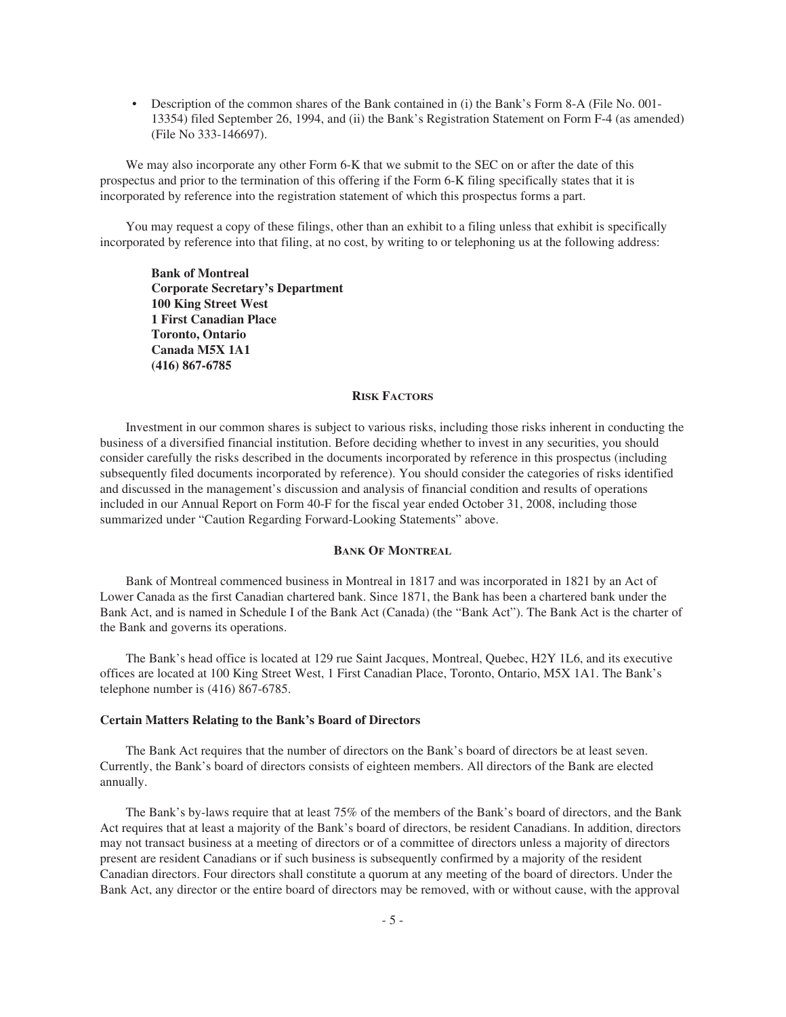• Description of the common shares of the Bank contained in (i) the Bank's Form 8-A (File No. 001-13354) filed September 26, 1994, and (ii) the Bank's Registration Statement on Form F-4 (as amended) (File No 333-146697).

We may also incorporate any other Form 6-K that we submit to the SEC on or after the date of this prospectus and prior to the termination of this offering if the Form 6-K filing specifically states that it is incorporated by reference into the registration statement of which this prospectus forms a part.

You may request a copy of these filings, other than an exhibit to a filing unless that exhibit is specifically incorporated by reference into that filing, at no cost, by writing to or telephoning us at the following address:

**Bank of Montreal Corporate Secretary's Department 100 King Street West 1 First Canadian Place Toronto, Ontario Canada M5X 1A1 (416) 867-6785**

# **RISK FACTORS**

Investment in our common shares is subject to various risks, including those risks inherent in conducting the business of a diversified financial institution. Before deciding whether to invest in any securities, you should consider carefully the risks described in the documents incorporated by reference in this prospectus (including subsequently filed documents incorporated by reference). You should consider the categories of risks identified and discussed in the management's discussion and analysis of financial condition and results of operations included in our Annual Report on Form 40-F for the fiscal year ended October 31, 2008, including those summarized under "Caution Regarding Forward-Looking Statements" above.

# **BANK OF MONTREAL**

Bank of Montreal commenced business in Montreal in 1817 and was incorporated in 1821 by an Act of Lower Canada as the first Canadian chartered bank. Since 1871, the Bank has been a chartered bank under the Bank Act, and is named in Schedule I of the Bank Act (Canada) (the "Bank Act"). The Bank Act is the charter of the Bank and governs its operations.

The Bank's head office is located at 129 rue Saint Jacques, Montreal, Quebec, H2Y 1L6, and its executive offices are located at 100 King Street West, 1 First Canadian Place, Toronto, Ontario, M5X 1A1. The Bank's telephone number is (416) 867-6785.

## **Certain Matters Relating to the Bank's Board of Directors**

The Bank Act requires that the number of directors on the Bank's board of directors be at least seven. Currently, the Bank's board of directors consists of eighteen members. All directors of the Bank are elected annually.

The Bank's by-laws require that at least 75% of the members of the Bank's board of directors, and the Bank Act requires that at least a majority of the Bank's board of directors, be resident Canadians. In addition, directors may not transact business at a meeting of directors or of a committee of directors unless a majority of directors present are resident Canadians or if such business is subsequently confirmed by a majority of the resident Canadian directors. Four directors shall constitute a quorum at any meeting of the board of directors. Under the Bank Act, any director or the entire board of directors may be removed, with or without cause, with the approval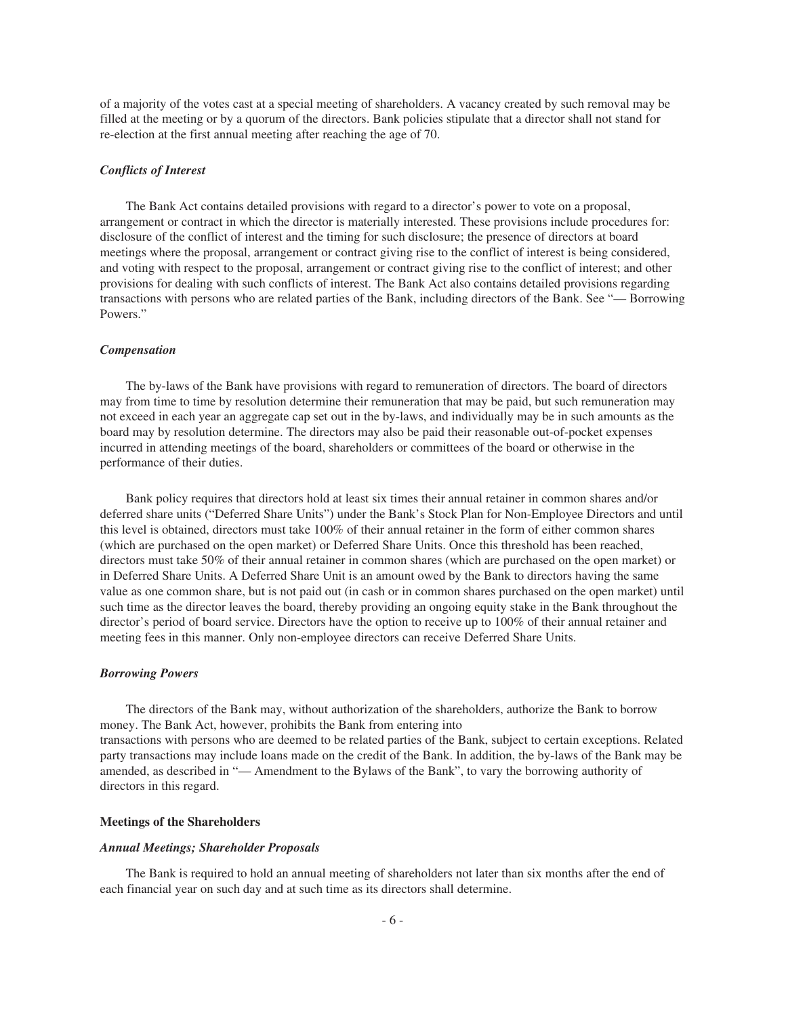of a majority of the votes cast at a special meeting of shareholders. A vacancy created by such removal may be filled at the meeting or by a quorum of the directors. Bank policies stipulate that a director shall not stand for re-election at the first annual meeting after reaching the age of 70.

# *Conflicts of Interest*

The Bank Act contains detailed provisions with regard to a director's power to vote on a proposal, arrangement or contract in which the director is materially interested. These provisions include procedures for: disclosure of the conflict of interest and the timing for such disclosure; the presence of directors at board meetings where the proposal, arrangement or contract giving rise to the conflict of interest is being considered, and voting with respect to the proposal, arrangement or contract giving rise to the conflict of interest; and other provisions for dealing with such conflicts of interest. The Bank Act also contains detailed provisions regarding transactions with persons who are related parties of the Bank, including directors of the Bank. See "— Borrowing Powers."

#### *Compensation*

The by-laws of the Bank have provisions with regard to remuneration of directors. The board of directors may from time to time by resolution determine their remuneration that may be paid, but such remuneration may not exceed in each year an aggregate cap set out in the by-laws, and individually may be in such amounts as the board may by resolution determine. The directors may also be paid their reasonable out-of-pocket expenses incurred in attending meetings of the board, shareholders or committees of the board or otherwise in the performance of their duties.

Bank policy requires that directors hold at least six times their annual retainer in common shares and/or deferred share units ("Deferred Share Units") under the Bank's Stock Plan for Non-Employee Directors and until this level is obtained, directors must take 100% of their annual retainer in the form of either common shares (which are purchased on the open market) or Deferred Share Units. Once this threshold has been reached, directors must take 50% of their annual retainer in common shares (which are purchased on the open market) or in Deferred Share Units. A Deferred Share Unit is an amount owed by the Bank to directors having the same value as one common share, but is not paid out (in cash or in common shares purchased on the open market) until such time as the director leaves the board, thereby providing an ongoing equity stake in the Bank throughout the director's period of board service. Directors have the option to receive up to 100% of their annual retainer and meeting fees in this manner. Only non-employee directors can receive Deferred Share Units.

#### *Borrowing Powers*

The directors of the Bank may, without authorization of the shareholders, authorize the Bank to borrow money. The Bank Act, however, prohibits the Bank from entering into transactions with persons who are deemed to be related parties of the Bank, subject to certain exceptions. Related party transactions may include loans made on the credit of the Bank. In addition, the by-laws of the Bank may be amended, as described in "— Amendment to the Bylaws of the Bank", to vary the borrowing authority of directors in this regard.

#### **Meetings of the Shareholders**

#### *Annual Meetings; Shareholder Proposals*

The Bank is required to hold an annual meeting of shareholders not later than six months after the end of each financial year on such day and at such time as its directors shall determine.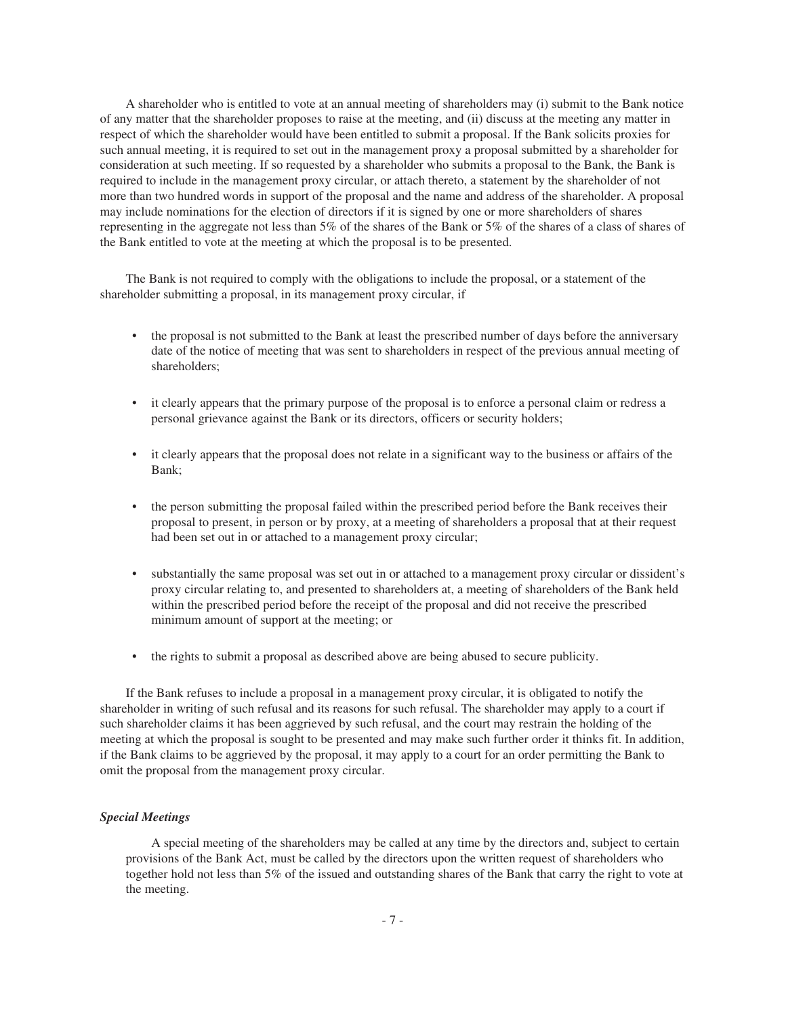A shareholder who is entitled to vote at an annual meeting of shareholders may (i) submit to the Bank notice of any matter that the shareholder proposes to raise at the meeting, and (ii) discuss at the meeting any matter in respect of which the shareholder would have been entitled to submit a proposal. If the Bank solicits proxies for such annual meeting, it is required to set out in the management proxy a proposal submitted by a shareholder for consideration at such meeting. If so requested by a shareholder who submits a proposal to the Bank, the Bank is required to include in the management proxy circular, or attach thereto, a statement by the shareholder of not more than two hundred words in support of the proposal and the name and address of the shareholder. A proposal may include nominations for the election of directors if it is signed by one or more shareholders of shares representing in the aggregate not less than 5% of the shares of the Bank or 5% of the shares of a class of shares of the Bank entitled to vote at the meeting at which the proposal is to be presented.

The Bank is not required to comply with the obligations to include the proposal, or a statement of the shareholder submitting a proposal, in its management proxy circular, if

- the proposal is not submitted to the Bank at least the prescribed number of days before the anniversary date of the notice of meeting that was sent to shareholders in respect of the previous annual meeting of shareholders;
- it clearly appears that the primary purpose of the proposal is to enforce a personal claim or redress a personal grievance against the Bank or its directors, officers or security holders;
- it clearly appears that the proposal does not relate in a significant way to the business or affairs of the Bank;
- the person submitting the proposal failed within the prescribed period before the Bank receives their proposal to present, in person or by proxy, at a meeting of shareholders a proposal that at their request had been set out in or attached to a management proxy circular;
- substantially the same proposal was set out in or attached to a management proxy circular or dissident's proxy circular relating to, and presented to shareholders at, a meeting of shareholders of the Bank held within the prescribed period before the receipt of the proposal and did not receive the prescribed minimum amount of support at the meeting; or
- the rights to submit a proposal as described above are being abused to secure publicity.

If the Bank refuses to include a proposal in a management proxy circular, it is obligated to notify the shareholder in writing of such refusal and its reasons for such refusal. The shareholder may apply to a court if such shareholder claims it has been aggrieved by such refusal, and the court may restrain the holding of the meeting at which the proposal is sought to be presented and may make such further order it thinks fit. In addition, if the Bank claims to be aggrieved by the proposal, it may apply to a court for an order permitting the Bank to omit the proposal from the management proxy circular.

# *Special Meetings*

A special meeting of the shareholders may be called at any time by the directors and, subject to certain provisions of the Bank Act, must be called by the directors upon the written request of shareholders who together hold not less than 5% of the issued and outstanding shares of the Bank that carry the right to vote at the meeting.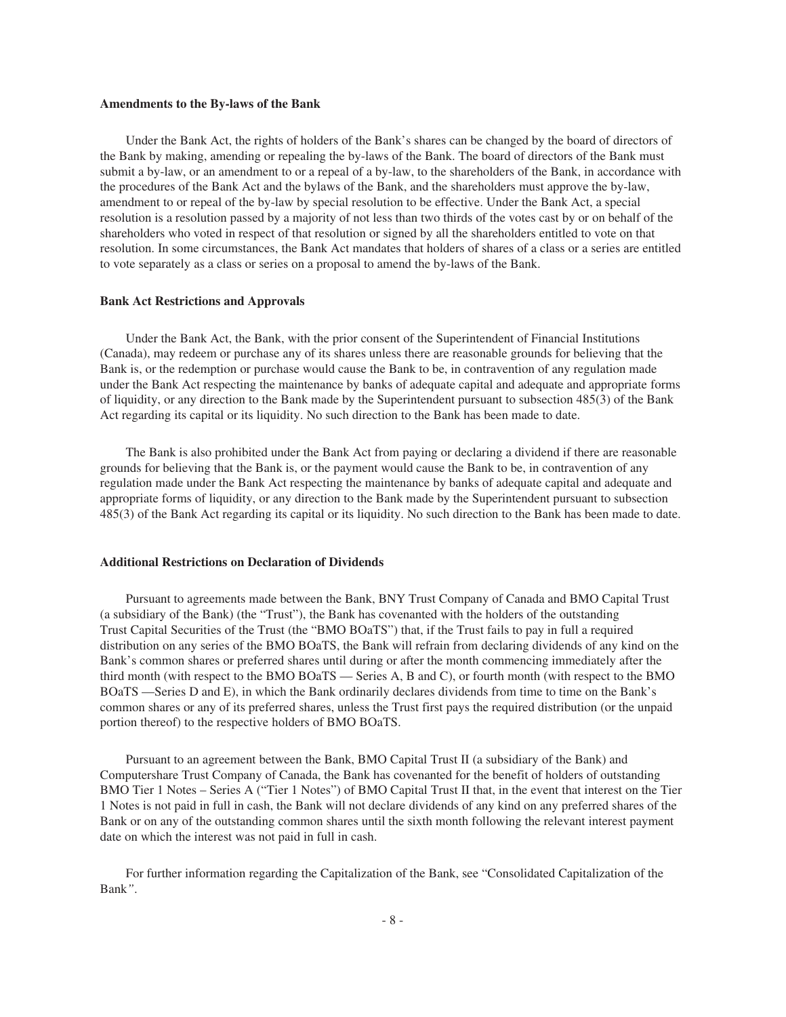### **Amendments to the By-laws of the Bank**

Under the Bank Act, the rights of holders of the Bank's shares can be changed by the board of directors of the Bank by making, amending or repealing the by-laws of the Bank. The board of directors of the Bank must submit a by-law, or an amendment to or a repeal of a by-law, to the shareholders of the Bank, in accordance with the procedures of the Bank Act and the bylaws of the Bank, and the shareholders must approve the by-law, amendment to or repeal of the by-law by special resolution to be effective. Under the Bank Act, a special resolution is a resolution passed by a majority of not less than two thirds of the votes cast by or on behalf of the shareholders who voted in respect of that resolution or signed by all the shareholders entitled to vote on that resolution. In some circumstances, the Bank Act mandates that holders of shares of a class or a series are entitled to vote separately as a class or series on a proposal to amend the by-laws of the Bank.

#### **Bank Act Restrictions and Approvals**

Under the Bank Act, the Bank, with the prior consent of the Superintendent of Financial Institutions (Canada), may redeem or purchase any of its shares unless there are reasonable grounds for believing that the Bank is, or the redemption or purchase would cause the Bank to be, in contravention of any regulation made under the Bank Act respecting the maintenance by banks of adequate capital and adequate and appropriate forms of liquidity, or any direction to the Bank made by the Superintendent pursuant to subsection 485(3) of the Bank Act regarding its capital or its liquidity. No such direction to the Bank has been made to date.

The Bank is also prohibited under the Bank Act from paying or declaring a dividend if there are reasonable grounds for believing that the Bank is, or the payment would cause the Bank to be, in contravention of any regulation made under the Bank Act respecting the maintenance by banks of adequate capital and adequate and appropriate forms of liquidity, or any direction to the Bank made by the Superintendent pursuant to subsection 485(3) of the Bank Act regarding its capital or its liquidity. No such direction to the Bank has been made to date.

#### **Additional Restrictions on Declaration of Dividends**

Pursuant to agreements made between the Bank, BNY Trust Company of Canada and BMO Capital Trust (a subsidiary of the Bank) (the "Trust"), the Bank has covenanted with the holders of the outstanding Trust Capital Securities of the Trust (the "BMO BOaTS") that, if the Trust fails to pay in full a required distribution on any series of the BMO BOaTS, the Bank will refrain from declaring dividends of any kind on the Bank's common shares or preferred shares until during or after the month commencing immediately after the third month (with respect to the BMO BOaTS — Series A, B and C), or fourth month (with respect to the BMO BOaTS —Series D and E), in which the Bank ordinarily declares dividends from time to time on the Bank's common shares or any of its preferred shares, unless the Trust first pays the required distribution (or the unpaid portion thereof) to the respective holders of BMO BOaTS.

Pursuant to an agreement between the Bank, BMO Capital Trust II (a subsidiary of the Bank) and Computershare Trust Company of Canada, the Bank has covenanted for the benefit of holders of outstanding BMO Tier 1 Notes – Series A ("Tier 1 Notes") of BMO Capital Trust II that, in the event that interest on the Tier 1 Notes is not paid in full in cash, the Bank will not declare dividends of any kind on any preferred shares of the Bank or on any of the outstanding common shares until the sixth month following the relevant interest payment date on which the interest was not paid in full in cash.

For further information regarding the Capitalization of the Bank, see "Consolidated Capitalization of the Bank*"*.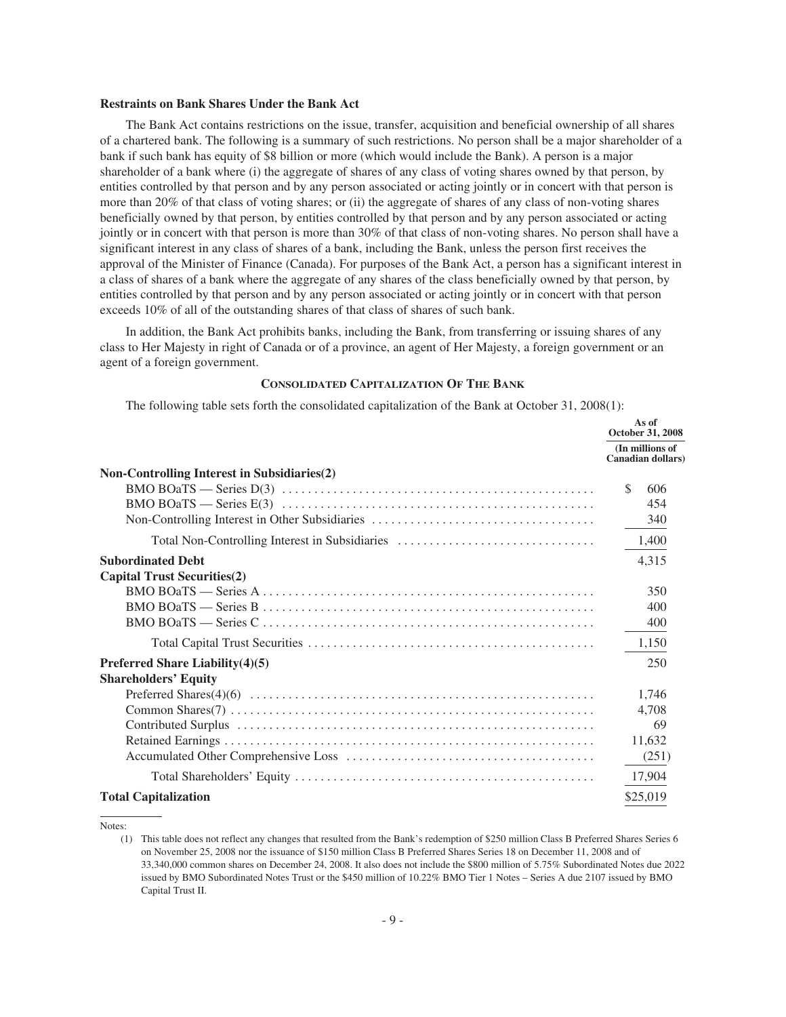#### **Restraints on Bank Shares Under the Bank Act**

The Bank Act contains restrictions on the issue, transfer, acquisition and beneficial ownership of all shares of a chartered bank. The following is a summary of such restrictions. No person shall be a major shareholder of a bank if such bank has equity of \$8 billion or more (which would include the Bank). A person is a major shareholder of a bank where (i) the aggregate of shares of any class of voting shares owned by that person, by entities controlled by that person and by any person associated or acting jointly or in concert with that person is more than 20% of that class of voting shares; or (ii) the aggregate of shares of any class of non-voting shares beneficially owned by that person, by entities controlled by that person and by any person associated or acting jointly or in concert with that person is more than 30% of that class of non-voting shares. No person shall have a significant interest in any class of shares of a bank, including the Bank, unless the person first receives the approval of the Minister of Finance (Canada). For purposes of the Bank Act, a person has a significant interest in a class of shares of a bank where the aggregate of any shares of the class beneficially owned by that person, by entities controlled by that person and by any person associated or acting jointly or in concert with that person exceeds 10% of all of the outstanding shares of that class of shares of such bank.

In addition, the Bank Act prohibits banks, including the Bank, from transferring or issuing shares of any class to Her Majesty in right of Canada or of a province, an agent of Her Majesty, a foreign government or an agent of a foreign government.

#### **CONSOLIDATED CAPITALIZATION OF THE BANK**

The following table sets forth the consolidated capitalization of the Bank at October 31, 2008(1):

|                                                    | As of<br>October 31, 2008                    |  |
|----------------------------------------------------|----------------------------------------------|--|
|                                                    | (In millions of<br><b>Canadian dollars</b> ) |  |
| <b>Non-Controlling Interest in Subsidiaries(2)</b> |                                              |  |
|                                                    | \$<br>606                                    |  |
|                                                    | 454                                          |  |
|                                                    | 340                                          |  |
| Total Non-Controlling Interest in Subsidiaries     | 1,400                                        |  |
| <b>Subordinated Debt</b>                           | 4,315                                        |  |
| <b>Capital Trust Securities(2)</b>                 |                                              |  |
|                                                    | 350                                          |  |
|                                                    | 400                                          |  |
|                                                    | 400                                          |  |
|                                                    | 1,150                                        |  |
| Preferred Share Liability(4)(5)                    | 250                                          |  |
| <b>Shareholders' Equity</b>                        |                                              |  |
|                                                    | 1,746                                        |  |
|                                                    | 4.708                                        |  |
|                                                    | 69                                           |  |
|                                                    | 11,632                                       |  |
|                                                    | (251)                                        |  |
|                                                    | 17,904                                       |  |
| <b>Total Capitalization</b>                        | \$25,019                                     |  |

Notes:

<sup>(1)</sup> This table does not reflect any changes that resulted from the Bank's redemption of \$250 million Class B Preferred Shares Series 6 on November 25, 2008 nor the issuance of \$150 million Class B Preferred Shares Series 18 on December 11, 2008 and of 33,340,000 common shares on December 24, 2008. It also does not include the \$800 million of 5.75% Subordinated Notes due 2022 issued by BMO Subordinated Notes Trust or the \$450 million of 10.22% BMO Tier 1 Notes – Series A due 2107 issued by BMO Capital Trust II.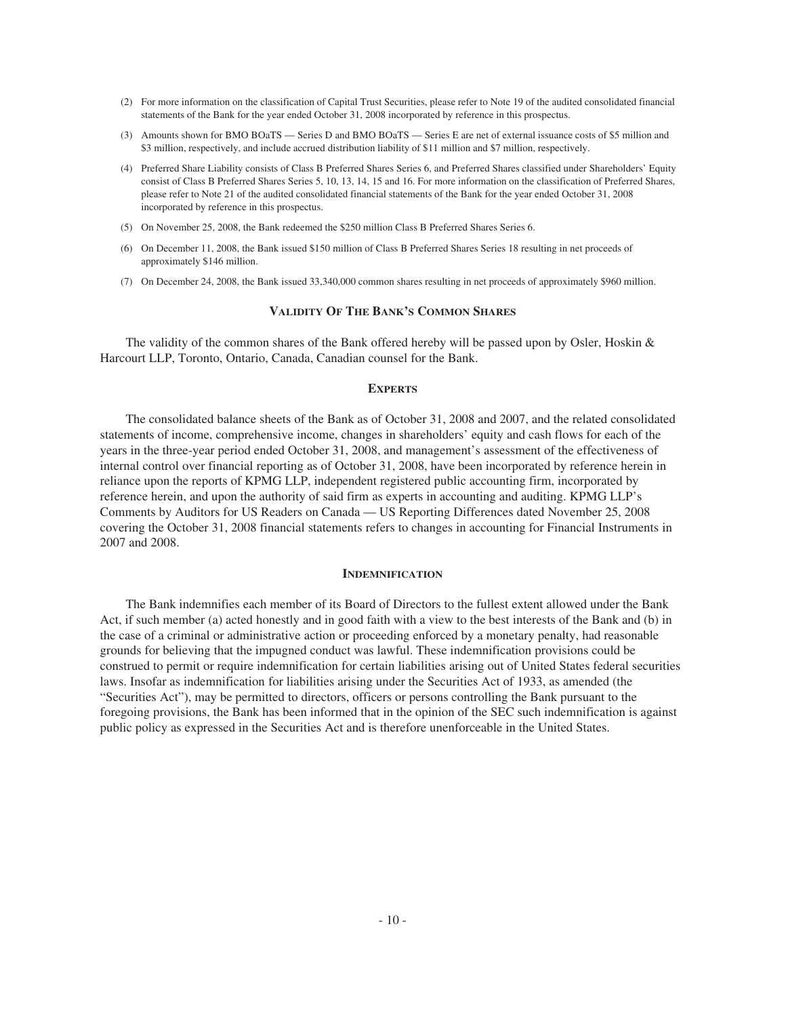- (2) For more information on the classification of Capital Trust Securities, please refer to Note 19 of the audited consolidated financial statements of the Bank for the year ended October 31, 2008 incorporated by reference in this prospectus.
- (3) Amounts shown for BMO BOaTS Series D and BMO BOaTS Series E are net of external issuance costs of \$5 million and \$3 million, respectively, and include accrued distribution liability of \$11 million and \$7 million, respectively.
- (4) Preferred Share Liability consists of Class B Preferred Shares Series 6, and Preferred Shares classified under Shareholders' Equity consist of Class B Preferred Shares Series 5, 10, 13, 14, 15 and 16. For more information on the classification of Preferred Shares, please refer to Note 21 of the audited consolidated financial statements of the Bank for the year ended October 31, 2008 incorporated by reference in this prospectus.
- (5) On November 25, 2008, the Bank redeemed the \$250 million Class B Preferred Shares Series 6.
- (6) On December 11, 2008, the Bank issued \$150 million of Class B Preferred Shares Series 18 resulting in net proceeds of approximately \$146 million.
- (7) On December 24, 2008, the Bank issued 33,340,000 common shares resulting in net proceeds of approximately \$960 million.

### **VALIDITY OF THE BANK'S COMMON SHARES**

The validity of the common shares of the Bank offered hereby will be passed upon by Osler, Hoskin & Harcourt LLP, Toronto, Ontario, Canada, Canadian counsel for the Bank.

#### **EXPERTS**

The consolidated balance sheets of the Bank as of October 31, 2008 and 2007, and the related consolidated statements of income, comprehensive income, changes in shareholders' equity and cash flows for each of the years in the three-year period ended October 31, 2008, and management's assessment of the effectiveness of internal control over financial reporting as of October 31, 2008, have been incorporated by reference herein in reliance upon the reports of KPMG LLP, independent registered public accounting firm, incorporated by reference herein, and upon the authority of said firm as experts in accounting and auditing. KPMG LLP's Comments by Auditors for US Readers on Canada — US Reporting Differences dated November 25, 2008 covering the October 31, 2008 financial statements refers to changes in accounting for Financial Instruments in 2007 and 2008.

#### **INDEMNIFICATION**

The Bank indemnifies each member of its Board of Directors to the fullest extent allowed under the Bank Act, if such member (a) acted honestly and in good faith with a view to the best interests of the Bank and (b) in the case of a criminal or administrative action or proceeding enforced by a monetary penalty, had reasonable grounds for believing that the impugned conduct was lawful. These indemnification provisions could be construed to permit or require indemnification for certain liabilities arising out of United States federal securities laws. Insofar as indemnification for liabilities arising under the Securities Act of 1933, as amended (the "Securities Act"), may be permitted to directors, officers or persons controlling the Bank pursuant to the foregoing provisions, the Bank has been informed that in the opinion of the SEC such indemnification is against public policy as expressed in the Securities Act and is therefore unenforceable in the United States.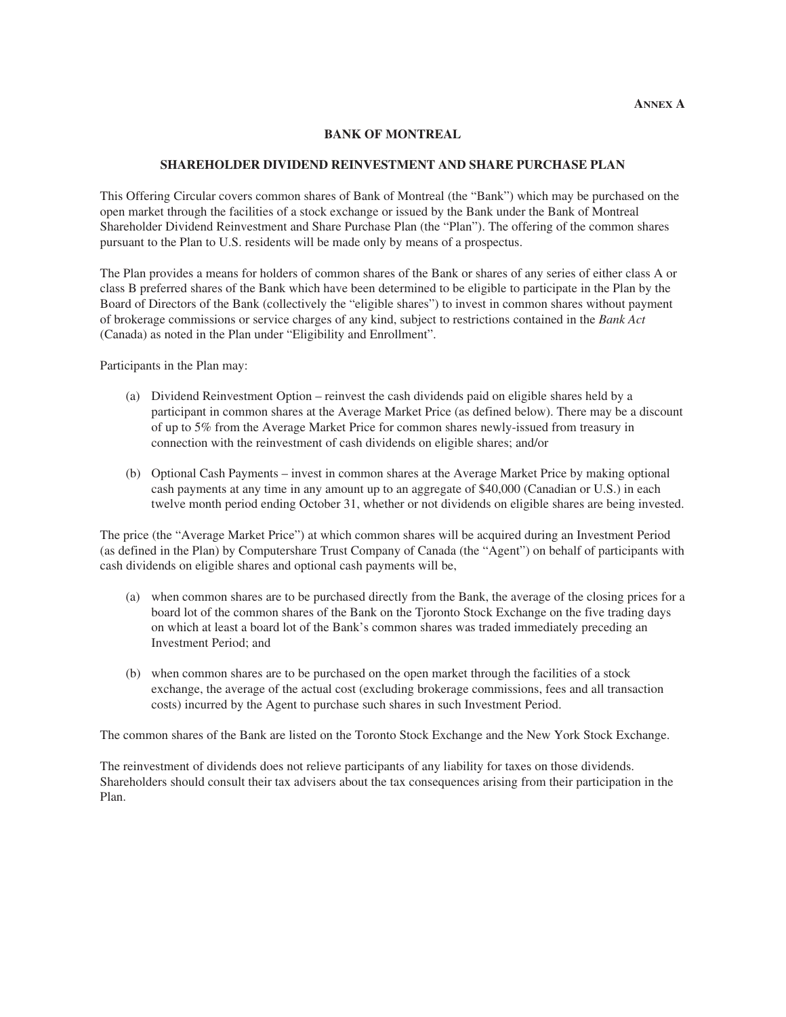# **BANK OF MONTREAL**

# **SHAREHOLDER DIVIDEND REINVESTMENT AND SHARE PURCHASE PLAN**

This Offering Circular covers common shares of Bank of Montreal (the "Bank") which may be purchased on the open market through the facilities of a stock exchange or issued by the Bank under the Bank of Montreal Shareholder Dividend Reinvestment and Share Purchase Plan (the "Plan"). The offering of the common shares pursuant to the Plan to U.S. residents will be made only by means of a prospectus.

The Plan provides a means for holders of common shares of the Bank or shares of any series of either class A or class B preferred shares of the Bank which have been determined to be eligible to participate in the Plan by the Board of Directors of the Bank (collectively the "eligible shares") to invest in common shares without payment of brokerage commissions or service charges of any kind, subject to restrictions contained in the *Bank Act* (Canada) as noted in the Plan under "Eligibility and Enrollment".

Participants in the Plan may:

- (a) Dividend Reinvestment Option reinvest the cash dividends paid on eligible shares held by a participant in common shares at the Average Market Price (as defined below). There may be a discount of up to 5% from the Average Market Price for common shares newly-issued from treasury in connection with the reinvestment of cash dividends on eligible shares; and/or
- (b) Optional Cash Payments invest in common shares at the Average Market Price by making optional cash payments at any time in any amount up to an aggregate of \$40,000 (Canadian or U.S.) in each twelve month period ending October 31, whether or not dividends on eligible shares are being invested.

The price (the "Average Market Price") at which common shares will be acquired during an Investment Period (as defined in the Plan) by Computershare Trust Company of Canada (the "Agent") on behalf of participants with cash dividends on eligible shares and optional cash payments will be,

- (a) when common shares are to be purchased directly from the Bank, the average of the closing prices for a board lot of the common shares of the Bank on the Tjoronto Stock Exchange on the five trading days on which at least a board lot of the Bank's common shares was traded immediately preceding an Investment Period; and
- (b) when common shares are to be purchased on the open market through the facilities of a stock exchange, the average of the actual cost (excluding brokerage commissions, fees and all transaction costs) incurred by the Agent to purchase such shares in such Investment Period.

The common shares of the Bank are listed on the Toronto Stock Exchange and the New York Stock Exchange.

The reinvestment of dividends does not relieve participants of any liability for taxes on those dividends. Shareholders should consult their tax advisers about the tax consequences arising from their participation in the Plan.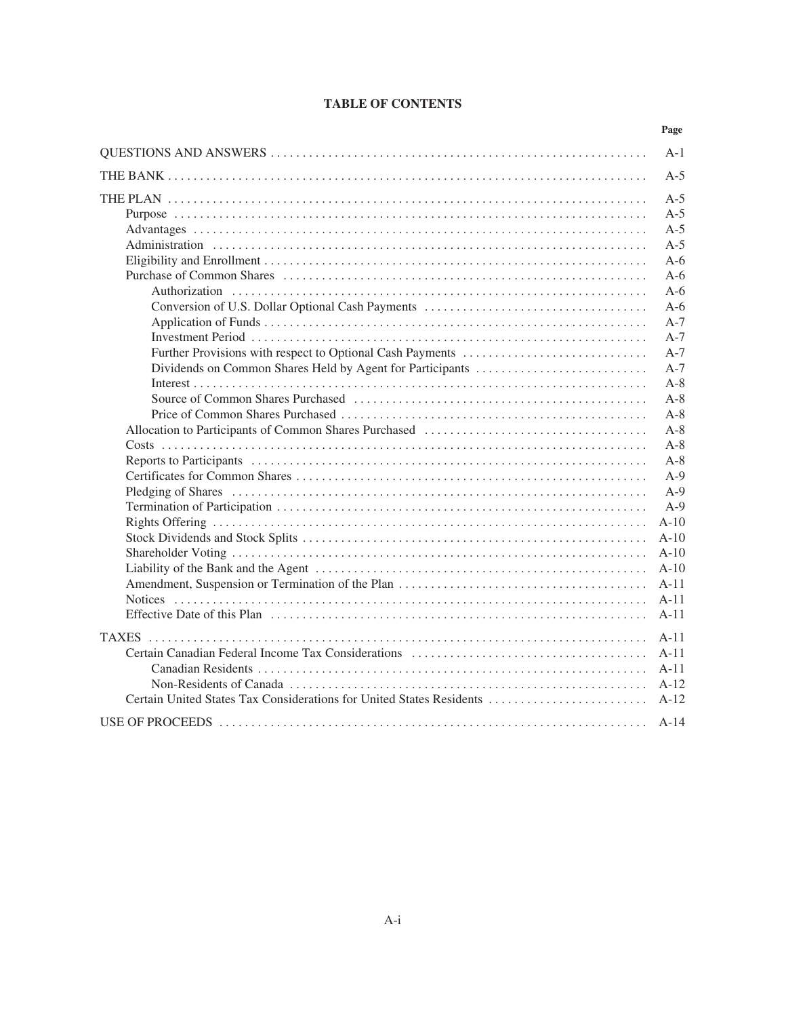|  | <b>TABLE OF CONTENTS</b> |
|--|--------------------------|
|--|--------------------------|

|                                                                      | Page   |
|----------------------------------------------------------------------|--------|
|                                                                      | $A-1$  |
|                                                                      | $A-5$  |
|                                                                      | $A-5$  |
|                                                                      | $A-5$  |
|                                                                      | $A-5$  |
|                                                                      | $A-5$  |
|                                                                      | $A-6$  |
|                                                                      | $A-6$  |
|                                                                      | $A-6$  |
|                                                                      | $A-6$  |
|                                                                      | $A-7$  |
|                                                                      | $A-7$  |
|                                                                      | $A-7$  |
|                                                                      | $A-7$  |
|                                                                      | $A-8$  |
|                                                                      | $A-8$  |
|                                                                      | $A-8$  |
|                                                                      | $A-8$  |
|                                                                      | $A-8$  |
|                                                                      | $A-8$  |
|                                                                      | $A-9$  |
|                                                                      | $A-9$  |
|                                                                      | $A-9$  |
|                                                                      | $A-10$ |
|                                                                      | $A-10$ |
|                                                                      | $A-10$ |
|                                                                      | $A-10$ |
|                                                                      | $A-11$ |
|                                                                      | $A-11$ |
|                                                                      | $A-11$ |
|                                                                      | $A-11$ |
|                                                                      | $A-11$ |
|                                                                      | $A-11$ |
|                                                                      | $A-12$ |
| Certain United States Tax Considerations for United States Residents | $A-12$ |
|                                                                      | $A-14$ |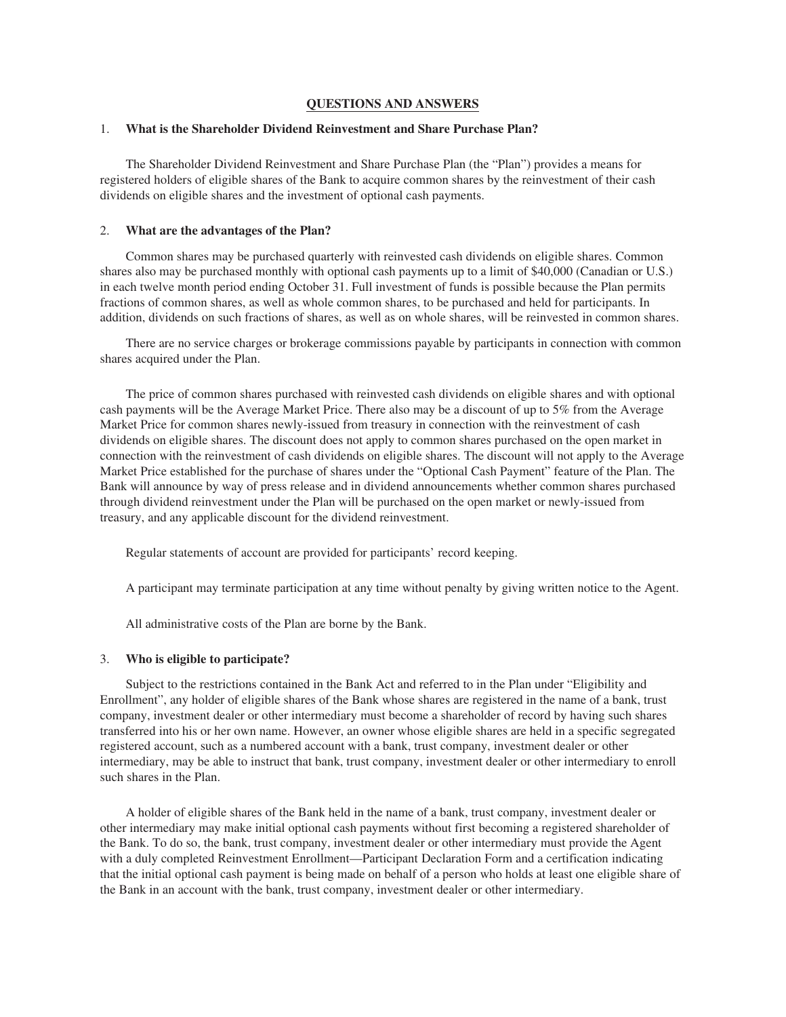# **QUESTIONS AND ANSWERS**

### 1. **What is the Shareholder Dividend Reinvestment and Share Purchase Plan?**

The Shareholder Dividend Reinvestment and Share Purchase Plan (the "Plan") provides a means for registered holders of eligible shares of the Bank to acquire common shares by the reinvestment of their cash dividends on eligible shares and the investment of optional cash payments.

#### 2. **What are the advantages of the Plan?**

Common shares may be purchased quarterly with reinvested cash dividends on eligible shares. Common shares also may be purchased monthly with optional cash payments up to a limit of \$40,000 (Canadian or U.S.) in each twelve month period ending October 31. Full investment of funds is possible because the Plan permits fractions of common shares, as well as whole common shares, to be purchased and held for participants. In addition, dividends on such fractions of shares, as well as on whole shares, will be reinvested in common shares.

There are no service charges or brokerage commissions payable by participants in connection with common shares acquired under the Plan.

The price of common shares purchased with reinvested cash dividends on eligible shares and with optional cash payments will be the Average Market Price. There also may be a discount of up to 5% from the Average Market Price for common shares newly-issued from treasury in connection with the reinvestment of cash dividends on eligible shares. The discount does not apply to common shares purchased on the open market in connection with the reinvestment of cash dividends on eligible shares. The discount will not apply to the Average Market Price established for the purchase of shares under the "Optional Cash Payment" feature of the Plan. The Bank will announce by way of press release and in dividend announcements whether common shares purchased through dividend reinvestment under the Plan will be purchased on the open market or newly-issued from treasury, and any applicable discount for the dividend reinvestment.

Regular statements of account are provided for participants' record keeping.

A participant may terminate participation at any time without penalty by giving written notice to the Agent.

All administrative costs of the Plan are borne by the Bank.

#### 3. **Who is eligible to participate?**

Subject to the restrictions contained in the Bank Act and referred to in the Plan under "Eligibility and Enrollment", any holder of eligible shares of the Bank whose shares are registered in the name of a bank, trust company, investment dealer or other intermediary must become a shareholder of record by having such shares transferred into his or her own name. However, an owner whose eligible shares are held in a specific segregated registered account, such as a numbered account with a bank, trust company, investment dealer or other intermediary, may be able to instruct that bank, trust company, investment dealer or other intermediary to enroll such shares in the Plan.

A holder of eligible shares of the Bank held in the name of a bank, trust company, investment dealer or other intermediary may make initial optional cash payments without first becoming a registered shareholder of the Bank. To do so, the bank, trust company, investment dealer or other intermediary must provide the Agent with a duly completed Reinvestment Enrollment—Participant Declaration Form and a certification indicating that the initial optional cash payment is being made on behalf of a person who holds at least one eligible share of the Bank in an account with the bank, trust company, investment dealer or other intermediary.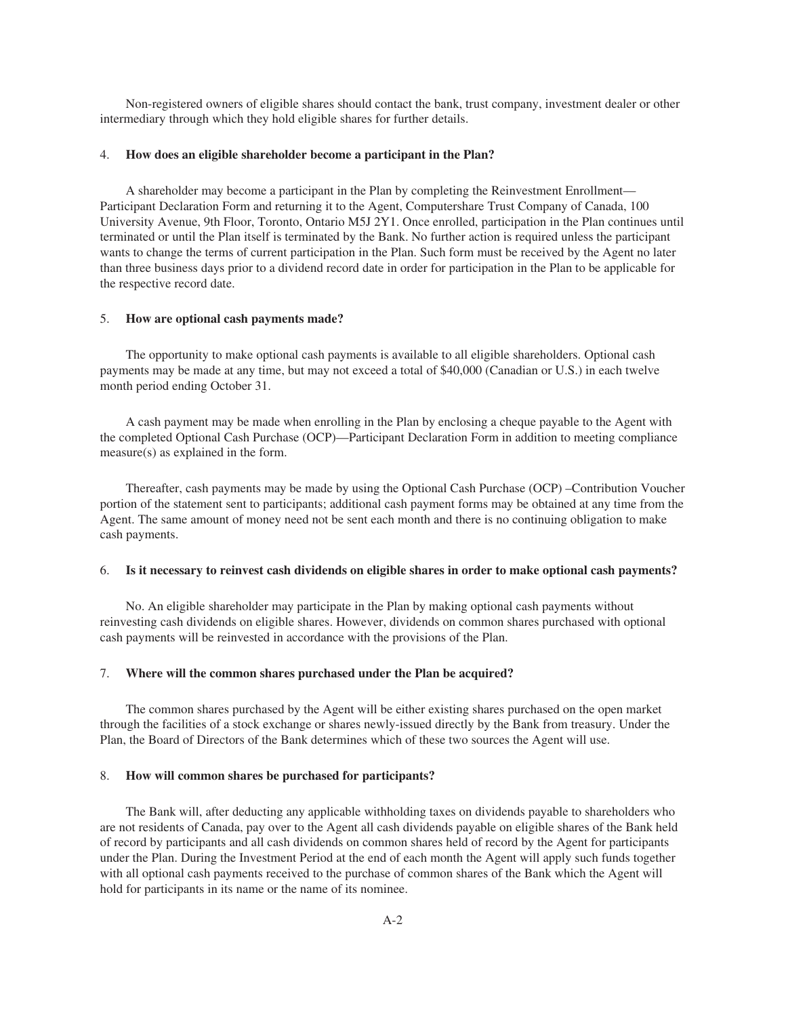Non-registered owners of eligible shares should contact the bank, trust company, investment dealer or other intermediary through which they hold eligible shares for further details.

#### 4. **How does an eligible shareholder become a participant in the Plan?**

A shareholder may become a participant in the Plan by completing the Reinvestment Enrollment— Participant Declaration Form and returning it to the Agent, Computershare Trust Company of Canada, 100 University Avenue, 9th Floor, Toronto, Ontario M5J 2Y1. Once enrolled, participation in the Plan continues until terminated or until the Plan itself is terminated by the Bank. No further action is required unless the participant wants to change the terms of current participation in the Plan. Such form must be received by the Agent no later than three business days prior to a dividend record date in order for participation in the Plan to be applicable for the respective record date.

### 5. **How are optional cash payments made?**

The opportunity to make optional cash payments is available to all eligible shareholders. Optional cash payments may be made at any time, but may not exceed a total of \$40,000 (Canadian or U.S.) in each twelve month period ending October 31.

A cash payment may be made when enrolling in the Plan by enclosing a cheque payable to the Agent with the completed Optional Cash Purchase (OCP)—Participant Declaration Form in addition to meeting compliance measure(s) as explained in the form.

Thereafter, cash payments may be made by using the Optional Cash Purchase (OCP) –Contribution Voucher portion of the statement sent to participants; additional cash payment forms may be obtained at any time from the Agent. The same amount of money need not be sent each month and there is no continuing obligation to make cash payments.

#### 6. **Is it necessary to reinvest cash dividends on eligible shares in order to make optional cash payments?**

No. An eligible shareholder may participate in the Plan by making optional cash payments without reinvesting cash dividends on eligible shares. However, dividends on common shares purchased with optional cash payments will be reinvested in accordance with the provisions of the Plan.

#### 7. **Where will the common shares purchased under the Plan be acquired?**

The common shares purchased by the Agent will be either existing shares purchased on the open market through the facilities of a stock exchange or shares newly-issued directly by the Bank from treasury. Under the Plan, the Board of Directors of the Bank determines which of these two sources the Agent will use.

#### 8. **How will common shares be purchased for participants?**

The Bank will, after deducting any applicable withholding taxes on dividends payable to shareholders who are not residents of Canada, pay over to the Agent all cash dividends payable on eligible shares of the Bank held of record by participants and all cash dividends on common shares held of record by the Agent for participants under the Plan. During the Investment Period at the end of each month the Agent will apply such funds together with all optional cash payments received to the purchase of common shares of the Bank which the Agent will hold for participants in its name or the name of its nominee.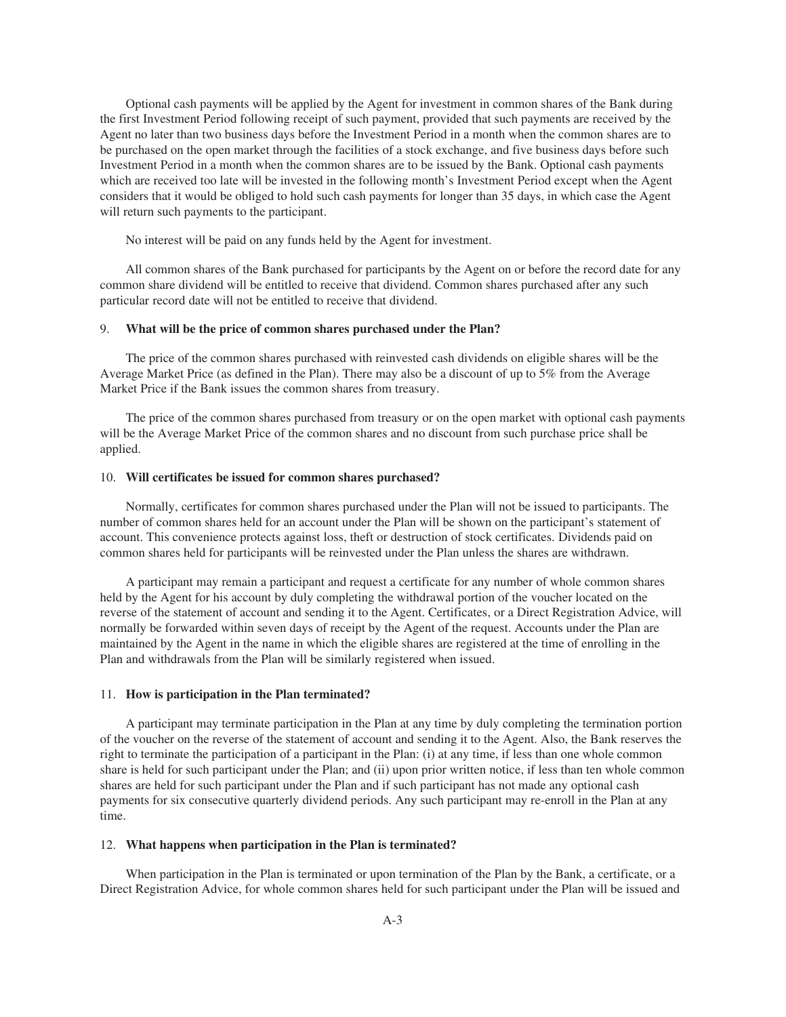Optional cash payments will be applied by the Agent for investment in common shares of the Bank during the first Investment Period following receipt of such payment, provided that such payments are received by the Agent no later than two business days before the Investment Period in a month when the common shares are to be purchased on the open market through the facilities of a stock exchange, and five business days before such Investment Period in a month when the common shares are to be issued by the Bank. Optional cash payments which are received too late will be invested in the following month's Investment Period except when the Agent considers that it would be obliged to hold such cash payments for longer than 35 days, in which case the Agent will return such payments to the participant.

No interest will be paid on any funds held by the Agent for investment.

All common shares of the Bank purchased for participants by the Agent on or before the record date for any common share dividend will be entitled to receive that dividend. Common shares purchased after any such particular record date will not be entitled to receive that dividend.

#### 9. **What will be the price of common shares purchased under the Plan?**

The price of the common shares purchased with reinvested cash dividends on eligible shares will be the Average Market Price (as defined in the Plan). There may also be a discount of up to 5% from the Average Market Price if the Bank issues the common shares from treasury.

The price of the common shares purchased from treasury or on the open market with optional cash payments will be the Average Market Price of the common shares and no discount from such purchase price shall be applied.

#### 10. **Will certificates be issued for common shares purchased?**

Normally, certificates for common shares purchased under the Plan will not be issued to participants. The number of common shares held for an account under the Plan will be shown on the participant's statement of account. This convenience protects against loss, theft or destruction of stock certificates. Dividends paid on common shares held for participants will be reinvested under the Plan unless the shares are withdrawn.

A participant may remain a participant and request a certificate for any number of whole common shares held by the Agent for his account by duly completing the withdrawal portion of the voucher located on the reverse of the statement of account and sending it to the Agent. Certificates, or a Direct Registration Advice, will normally be forwarded within seven days of receipt by the Agent of the request. Accounts under the Plan are maintained by the Agent in the name in which the eligible shares are registered at the time of enrolling in the Plan and withdrawals from the Plan will be similarly registered when issued.

#### 11. **How is participation in the Plan terminated?**

A participant may terminate participation in the Plan at any time by duly completing the termination portion of the voucher on the reverse of the statement of account and sending it to the Agent. Also, the Bank reserves the right to terminate the participation of a participant in the Plan: (i) at any time, if less than one whole common share is held for such participant under the Plan; and (ii) upon prior written notice, if less than ten whole common shares are held for such participant under the Plan and if such participant has not made any optional cash payments for six consecutive quarterly dividend periods. Any such participant may re-enroll in the Plan at any time.

#### 12. **What happens when participation in the Plan is terminated?**

When participation in the Plan is terminated or upon termination of the Plan by the Bank, a certificate, or a Direct Registration Advice, for whole common shares held for such participant under the Plan will be issued and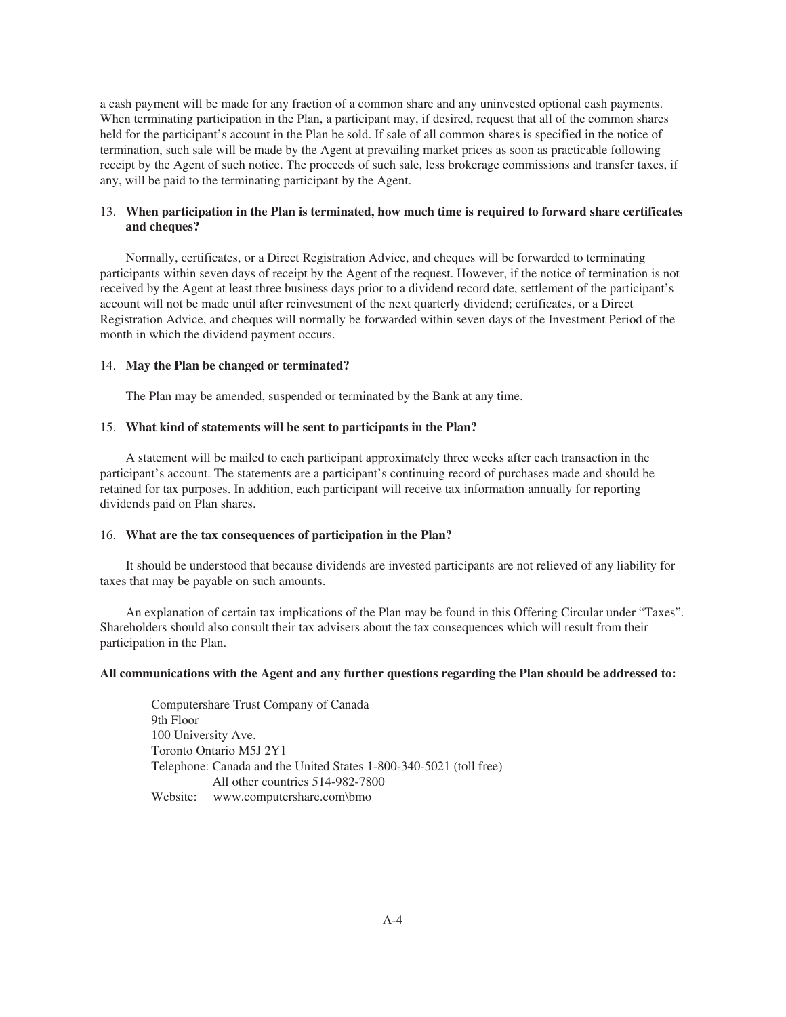a cash payment will be made for any fraction of a common share and any uninvested optional cash payments. When terminating participation in the Plan, a participant may, if desired, request that all of the common shares held for the participant's account in the Plan be sold. If sale of all common shares is specified in the notice of termination, such sale will be made by the Agent at prevailing market prices as soon as practicable following receipt by the Agent of such notice. The proceeds of such sale, less brokerage commissions and transfer taxes, if any, will be paid to the terminating participant by the Agent.

# 13. **When participation in the Plan is terminated, how much time is required to forward share certificates and cheques?**

Normally, certificates, or a Direct Registration Advice, and cheques will be forwarded to terminating participants within seven days of receipt by the Agent of the request. However, if the notice of termination is not received by the Agent at least three business days prior to a dividend record date, settlement of the participant's account will not be made until after reinvestment of the next quarterly dividend; certificates, or a Direct Registration Advice, and cheques will normally be forwarded within seven days of the Investment Period of the month in which the dividend payment occurs.

# 14. **May the Plan be changed or terminated?**

The Plan may be amended, suspended or terminated by the Bank at any time.

## 15. **What kind of statements will be sent to participants in the Plan?**

A statement will be mailed to each participant approximately three weeks after each transaction in the participant's account. The statements are a participant's continuing record of purchases made and should be retained for tax purposes. In addition, each participant will receive tax information annually for reporting dividends paid on Plan shares.

#### 16. **What are the tax consequences of participation in the Plan?**

It should be understood that because dividends are invested participants are not relieved of any liability for taxes that may be payable on such amounts.

An explanation of certain tax implications of the Plan may be found in this Offering Circular under "Taxes". Shareholders should also consult their tax advisers about the tax consequences which will result from their participation in the Plan.

#### **All communications with the Agent and any further questions regarding the Plan should be addressed to:**

Computershare Trust Company of Canada 9th Floor 100 University Ave. Toronto Ontario M5J 2Y1 Telephone: Canada and the United States 1-800-340-5021 (toll free) All other countries 514-982-7800 Website: www.computershare.com\bmo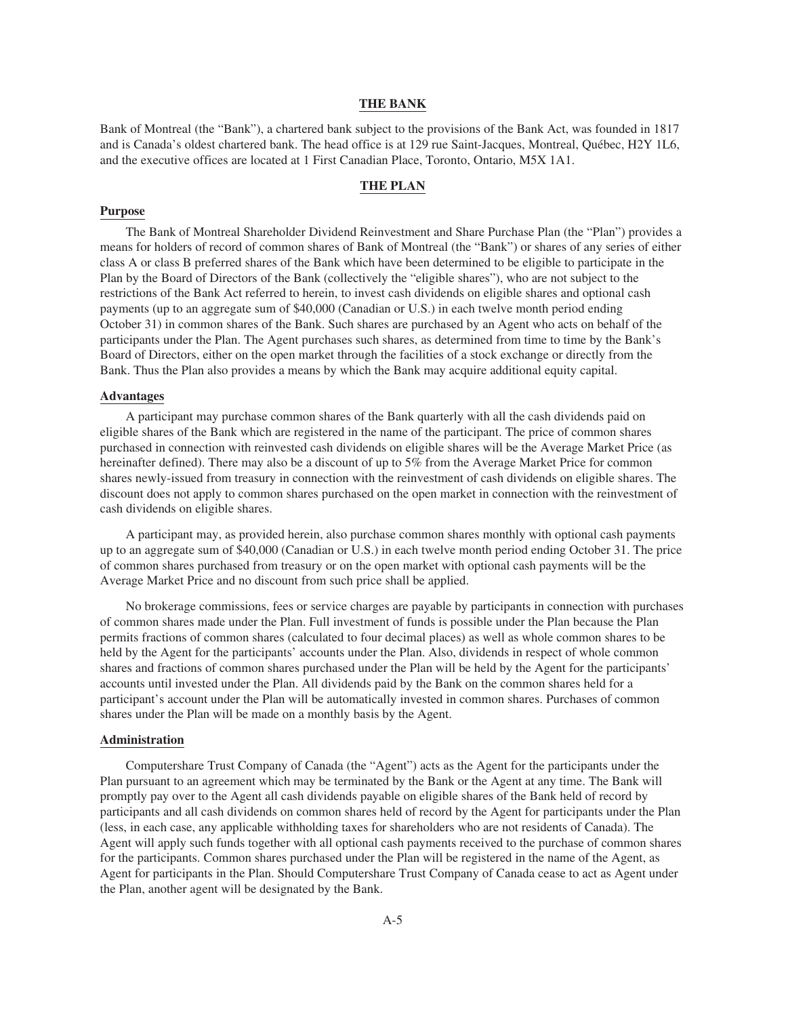# **THE BANK**

Bank of Montreal (the "Bank"), a chartered bank subject to the provisions of the Bank Act, was founded in 1817 and is Canada's oldest chartered bank. The head office is at 129 rue Saint-Jacques, Montreal, Québec, H2Y 1L6, and the executive offices are located at 1 First Canadian Place, Toronto, Ontario, M5X 1A1.

# **THE PLAN**

# **Purpose**

The Bank of Montreal Shareholder Dividend Reinvestment and Share Purchase Plan (the "Plan") provides a means for holders of record of common shares of Bank of Montreal (the "Bank") or shares of any series of either class A or class B preferred shares of the Bank which have been determined to be eligible to participate in the Plan by the Board of Directors of the Bank (collectively the "eligible shares"), who are not subject to the restrictions of the Bank Act referred to herein, to invest cash dividends on eligible shares and optional cash payments (up to an aggregate sum of \$40,000 (Canadian or U.S.) in each twelve month period ending October 31) in common shares of the Bank. Such shares are purchased by an Agent who acts on behalf of the participants under the Plan. The Agent purchases such shares, as determined from time to time by the Bank's Board of Directors, either on the open market through the facilities of a stock exchange or directly from the Bank. Thus the Plan also provides a means by which the Bank may acquire additional equity capital.

#### **Advantages**

A participant may purchase common shares of the Bank quarterly with all the cash dividends paid on eligible shares of the Bank which are registered in the name of the participant. The price of common shares purchased in connection with reinvested cash dividends on eligible shares will be the Average Market Price (as hereinafter defined). There may also be a discount of up to 5% from the Average Market Price for common shares newly-issued from treasury in connection with the reinvestment of cash dividends on eligible shares. The discount does not apply to common shares purchased on the open market in connection with the reinvestment of cash dividends on eligible shares.

A participant may, as provided herein, also purchase common shares monthly with optional cash payments up to an aggregate sum of \$40,000 (Canadian or U.S.) in each twelve month period ending October 31. The price of common shares purchased from treasury or on the open market with optional cash payments will be the Average Market Price and no discount from such price shall be applied.

No brokerage commissions, fees or service charges are payable by participants in connection with purchases of common shares made under the Plan. Full investment of funds is possible under the Plan because the Plan permits fractions of common shares (calculated to four decimal places) as well as whole common shares to be held by the Agent for the participants' accounts under the Plan. Also, dividends in respect of whole common shares and fractions of common shares purchased under the Plan will be held by the Agent for the participants' accounts until invested under the Plan. All dividends paid by the Bank on the common shares held for a participant's account under the Plan will be automatically invested in common shares. Purchases of common shares under the Plan will be made on a monthly basis by the Agent.

#### **Administration**

Computershare Trust Company of Canada (the "Agent") acts as the Agent for the participants under the Plan pursuant to an agreement which may be terminated by the Bank or the Agent at any time. The Bank will promptly pay over to the Agent all cash dividends payable on eligible shares of the Bank held of record by participants and all cash dividends on common shares held of record by the Agent for participants under the Plan (less, in each case, any applicable withholding taxes for shareholders who are not residents of Canada). The Agent will apply such funds together with all optional cash payments received to the purchase of common shares for the participants. Common shares purchased under the Plan will be registered in the name of the Agent, as Agent for participants in the Plan. Should Computershare Trust Company of Canada cease to act as Agent under the Plan, another agent will be designated by the Bank.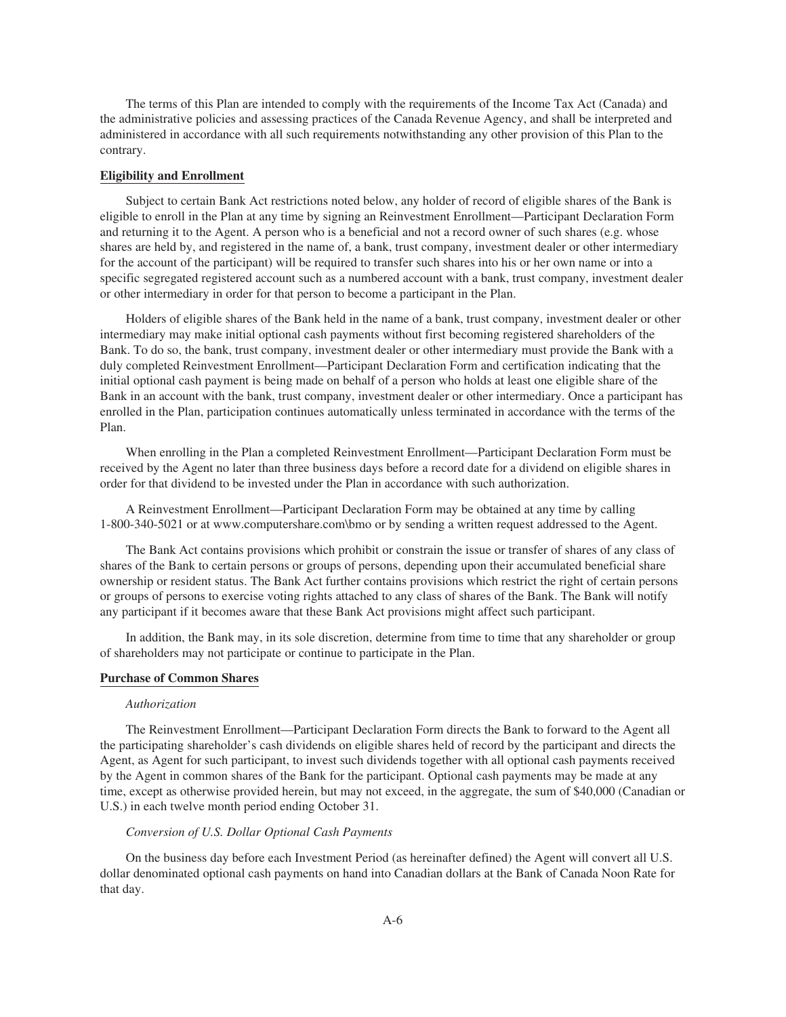The terms of this Plan are intended to comply with the requirements of the Income Tax Act (Canada) and the administrative policies and assessing practices of the Canada Revenue Agency, and shall be interpreted and administered in accordance with all such requirements notwithstanding any other provision of this Plan to the contrary.

#### **Eligibility and Enrollment**

Subject to certain Bank Act restrictions noted below, any holder of record of eligible shares of the Bank is eligible to enroll in the Plan at any time by signing an Reinvestment Enrollment—Participant Declaration Form and returning it to the Agent. A person who is a beneficial and not a record owner of such shares (e.g. whose shares are held by, and registered in the name of, a bank, trust company, investment dealer or other intermediary for the account of the participant) will be required to transfer such shares into his or her own name or into a specific segregated registered account such as a numbered account with a bank, trust company, investment dealer or other intermediary in order for that person to become a participant in the Plan.

Holders of eligible shares of the Bank held in the name of a bank, trust company, investment dealer or other intermediary may make initial optional cash payments without first becoming registered shareholders of the Bank. To do so, the bank, trust company, investment dealer or other intermediary must provide the Bank with a duly completed Reinvestment Enrollment—Participant Declaration Form and certification indicating that the initial optional cash payment is being made on behalf of a person who holds at least one eligible share of the Bank in an account with the bank, trust company, investment dealer or other intermediary. Once a participant has enrolled in the Plan, participation continues automatically unless terminated in accordance with the terms of the Plan.

When enrolling in the Plan a completed Reinvestment Enrollment—Participant Declaration Form must be received by the Agent no later than three business days before a record date for a dividend on eligible shares in order for that dividend to be invested under the Plan in accordance with such authorization.

A Reinvestment Enrollment—Participant Declaration Form may be obtained at any time by calling 1-800-340-5021 or at www.computershare.com\bmo or by sending a written request addressed to the Agent.

The Bank Act contains provisions which prohibit or constrain the issue or transfer of shares of any class of shares of the Bank to certain persons or groups of persons, depending upon their accumulated beneficial share ownership or resident status. The Bank Act further contains provisions which restrict the right of certain persons or groups of persons to exercise voting rights attached to any class of shares of the Bank. The Bank will notify any participant if it becomes aware that these Bank Act provisions might affect such participant.

In addition, the Bank may, in its sole discretion, determine from time to time that any shareholder or group of shareholders may not participate or continue to participate in the Plan.

# **Purchase of Common Shares**

#### *Authorization*

The Reinvestment Enrollment—Participant Declaration Form directs the Bank to forward to the Agent all the participating shareholder's cash dividends on eligible shares held of record by the participant and directs the Agent, as Agent for such participant, to invest such dividends together with all optional cash payments received by the Agent in common shares of the Bank for the participant. Optional cash payments may be made at any time, except as otherwise provided herein, but may not exceed, in the aggregate, the sum of \$40,000 (Canadian or U.S.) in each twelve month period ending October 31.

# *Conversion of U.S. Dollar Optional Cash Payments*

On the business day before each Investment Period (as hereinafter defined) the Agent will convert all U.S. dollar denominated optional cash payments on hand into Canadian dollars at the Bank of Canada Noon Rate for that day.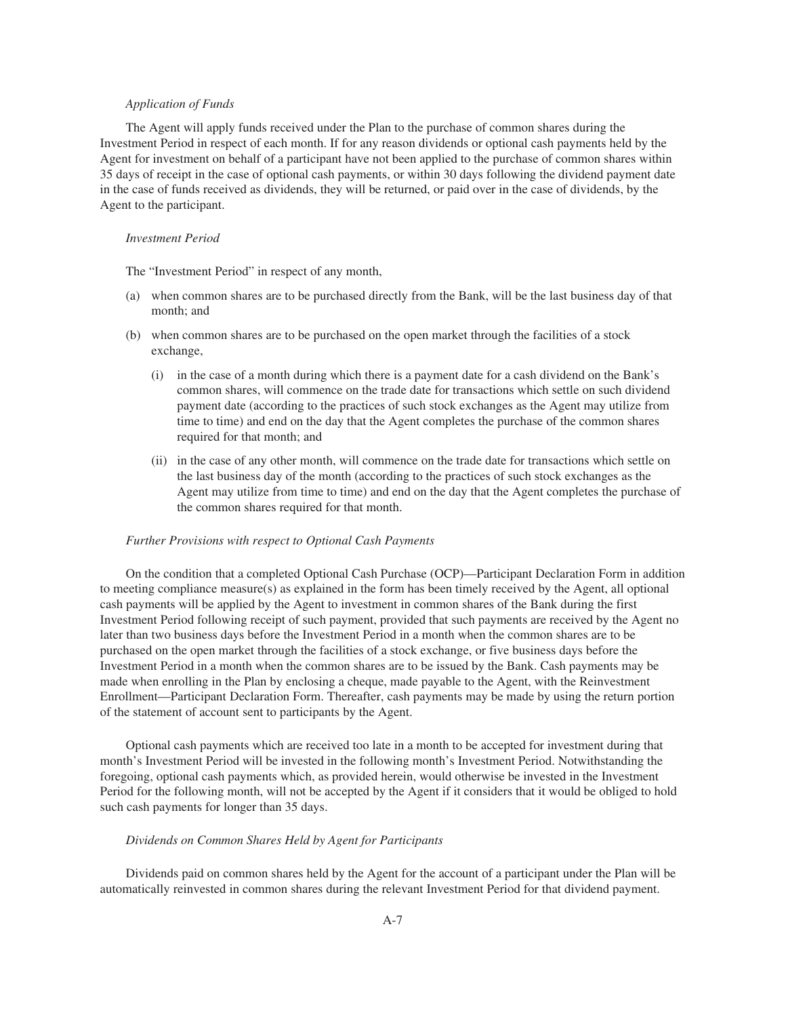# *Application of Funds*

The Agent will apply funds received under the Plan to the purchase of common shares during the Investment Period in respect of each month. If for any reason dividends or optional cash payments held by the Agent for investment on behalf of a participant have not been applied to the purchase of common shares within 35 days of receipt in the case of optional cash payments, or within 30 days following the dividend payment date in the case of funds received as dividends, they will be returned, or paid over in the case of dividends, by the Agent to the participant.

# *Investment Period*

The "Investment Period" in respect of any month,

- (a) when common shares are to be purchased directly from the Bank, will be the last business day of that month; and
- (b) when common shares are to be purchased on the open market through the facilities of a stock exchange,
	- (i) in the case of a month during which there is a payment date for a cash dividend on the Bank's common shares, will commence on the trade date for transactions which settle on such dividend payment date (according to the practices of such stock exchanges as the Agent may utilize from time to time) and end on the day that the Agent completes the purchase of the common shares required for that month; and
	- (ii) in the case of any other month, will commence on the trade date for transactions which settle on the last business day of the month (according to the practices of such stock exchanges as the Agent may utilize from time to time) and end on the day that the Agent completes the purchase of the common shares required for that month.

#### *Further Provisions with respect to Optional Cash Payments*

On the condition that a completed Optional Cash Purchase (OCP)—Participant Declaration Form in addition to meeting compliance measure(s) as explained in the form has been timely received by the Agent, all optional cash payments will be applied by the Agent to investment in common shares of the Bank during the first Investment Period following receipt of such payment, provided that such payments are received by the Agent no later than two business days before the Investment Period in a month when the common shares are to be purchased on the open market through the facilities of a stock exchange, or five business days before the Investment Period in a month when the common shares are to be issued by the Bank. Cash payments may be made when enrolling in the Plan by enclosing a cheque, made payable to the Agent, with the Reinvestment Enrollment—Participant Declaration Form. Thereafter, cash payments may be made by using the return portion of the statement of account sent to participants by the Agent.

Optional cash payments which are received too late in a month to be accepted for investment during that month's Investment Period will be invested in the following month's Investment Period. Notwithstanding the foregoing, optional cash payments which, as provided herein, would otherwise be invested in the Investment Period for the following month, will not be accepted by the Agent if it considers that it would be obliged to hold such cash payments for longer than 35 days.

#### *Dividends on Common Shares Held by Agent for Participants*

Dividends paid on common shares held by the Agent for the account of a participant under the Plan will be automatically reinvested in common shares during the relevant Investment Period for that dividend payment.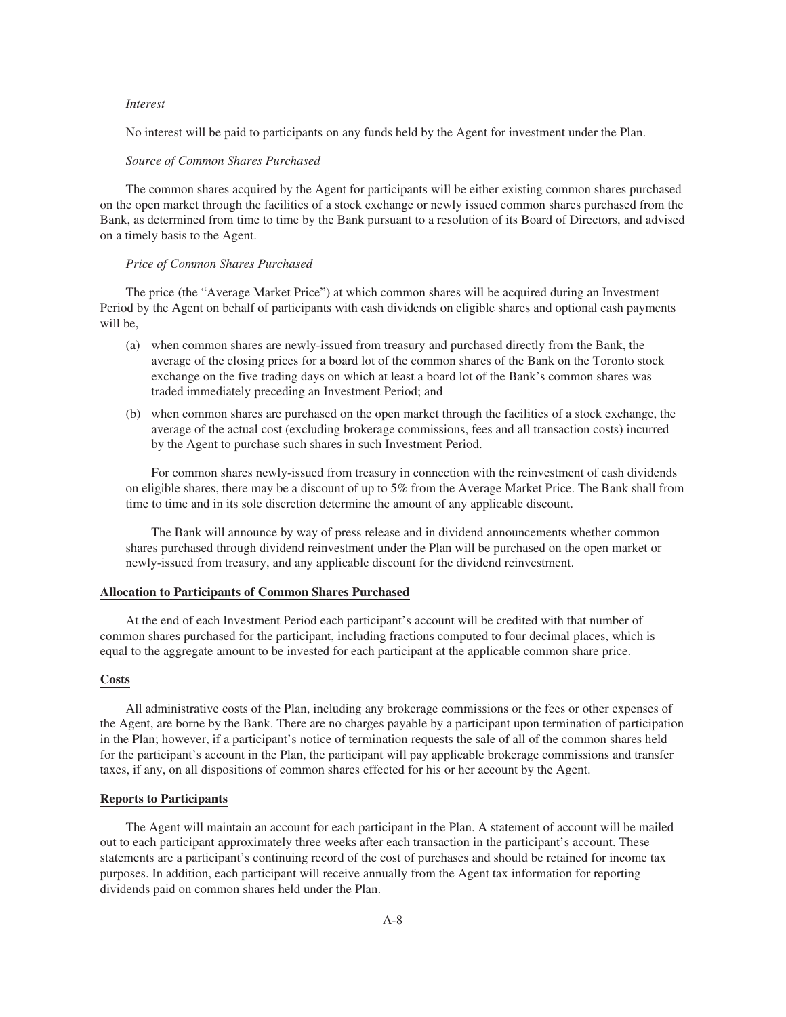# *Interest*

No interest will be paid to participants on any funds held by the Agent for investment under the Plan.

#### *Source of Common Shares Purchased*

The common shares acquired by the Agent for participants will be either existing common shares purchased on the open market through the facilities of a stock exchange or newly issued common shares purchased from the Bank, as determined from time to time by the Bank pursuant to a resolution of its Board of Directors, and advised on a timely basis to the Agent.

#### *Price of Common Shares Purchased*

The price (the "Average Market Price") at which common shares will be acquired during an Investment Period by the Agent on behalf of participants with cash dividends on eligible shares and optional cash payments will be,

- (a) when common shares are newly-issued from treasury and purchased directly from the Bank, the average of the closing prices for a board lot of the common shares of the Bank on the Toronto stock exchange on the five trading days on which at least a board lot of the Bank's common shares was traded immediately preceding an Investment Period; and
- (b) when common shares are purchased on the open market through the facilities of a stock exchange, the average of the actual cost (excluding brokerage commissions, fees and all transaction costs) incurred by the Agent to purchase such shares in such Investment Period.

For common shares newly-issued from treasury in connection with the reinvestment of cash dividends on eligible shares, there may be a discount of up to 5% from the Average Market Price. The Bank shall from time to time and in its sole discretion determine the amount of any applicable discount.

The Bank will announce by way of press release and in dividend announcements whether common shares purchased through dividend reinvestment under the Plan will be purchased on the open market or newly-issued from treasury, and any applicable discount for the dividend reinvestment.

### **Allocation to Participants of Common Shares Purchased**

At the end of each Investment Period each participant's account will be credited with that number of common shares purchased for the participant, including fractions computed to four decimal places, which is equal to the aggregate amount to be invested for each participant at the applicable common share price.

#### **Costs**

All administrative costs of the Plan, including any brokerage commissions or the fees or other expenses of the Agent, are borne by the Bank. There are no charges payable by a participant upon termination of participation in the Plan; however, if a participant's notice of termination requests the sale of all of the common shares held for the participant's account in the Plan, the participant will pay applicable brokerage commissions and transfer taxes, if any, on all dispositions of common shares effected for his or her account by the Agent.

# **Reports to Participants**

The Agent will maintain an account for each participant in the Plan. A statement of account will be mailed out to each participant approximately three weeks after each transaction in the participant's account. These statements are a participant's continuing record of the cost of purchases and should be retained for income tax purposes. In addition, each participant will receive annually from the Agent tax information for reporting dividends paid on common shares held under the Plan.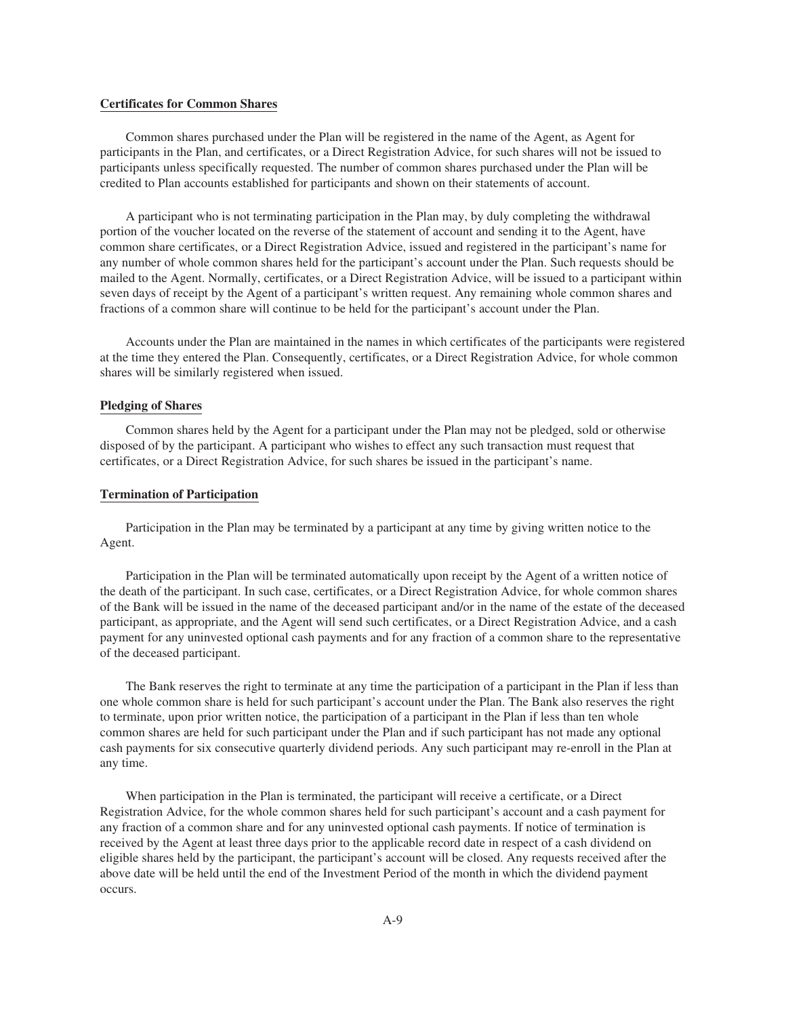## **Certificates for Common Shares**

Common shares purchased under the Plan will be registered in the name of the Agent, as Agent for participants in the Plan, and certificates, or a Direct Registration Advice, for such shares will not be issued to participants unless specifically requested. The number of common shares purchased under the Plan will be credited to Plan accounts established for participants and shown on their statements of account.

A participant who is not terminating participation in the Plan may, by duly completing the withdrawal portion of the voucher located on the reverse of the statement of account and sending it to the Agent, have common share certificates, or a Direct Registration Advice, issued and registered in the participant's name for any number of whole common shares held for the participant's account under the Plan. Such requests should be mailed to the Agent. Normally, certificates, or a Direct Registration Advice, will be issued to a participant within seven days of receipt by the Agent of a participant's written request. Any remaining whole common shares and fractions of a common share will continue to be held for the participant's account under the Plan.

Accounts under the Plan are maintained in the names in which certificates of the participants were registered at the time they entered the Plan. Consequently, certificates, or a Direct Registration Advice, for whole common shares will be similarly registered when issued.

#### **Pledging of Shares**

Common shares held by the Agent for a participant under the Plan may not be pledged, sold or otherwise disposed of by the participant. A participant who wishes to effect any such transaction must request that certificates, or a Direct Registration Advice, for such shares be issued in the participant's name.

### **Termination of Participation**

Participation in the Plan may be terminated by a participant at any time by giving written notice to the Agent.

Participation in the Plan will be terminated automatically upon receipt by the Agent of a written notice of the death of the participant. In such case, certificates, or a Direct Registration Advice, for whole common shares of the Bank will be issued in the name of the deceased participant and/or in the name of the estate of the deceased participant, as appropriate, and the Agent will send such certificates, or a Direct Registration Advice, and a cash payment for any uninvested optional cash payments and for any fraction of a common share to the representative of the deceased participant.

The Bank reserves the right to terminate at any time the participation of a participant in the Plan if less than one whole common share is held for such participant's account under the Plan. The Bank also reserves the right to terminate, upon prior written notice, the participation of a participant in the Plan if less than ten whole common shares are held for such participant under the Plan and if such participant has not made any optional cash payments for six consecutive quarterly dividend periods. Any such participant may re-enroll in the Plan at any time.

When participation in the Plan is terminated, the participant will receive a certificate, or a Direct Registration Advice, for the whole common shares held for such participant's account and a cash payment for any fraction of a common share and for any uninvested optional cash payments. If notice of termination is received by the Agent at least three days prior to the applicable record date in respect of a cash dividend on eligible shares held by the participant, the participant's account will be closed. Any requests received after the above date will be held until the end of the Investment Period of the month in which the dividend payment occurs.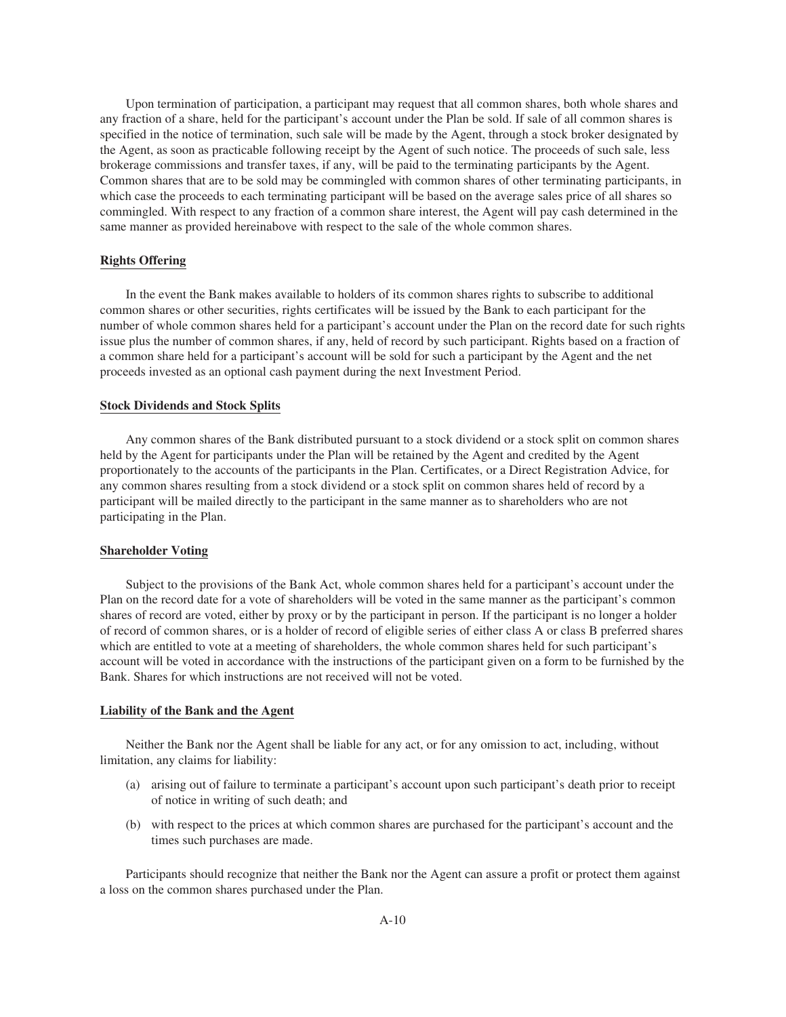Upon termination of participation, a participant may request that all common shares, both whole shares and any fraction of a share, held for the participant's account under the Plan be sold. If sale of all common shares is specified in the notice of termination, such sale will be made by the Agent, through a stock broker designated by the Agent, as soon as practicable following receipt by the Agent of such notice. The proceeds of such sale, less brokerage commissions and transfer taxes, if any, will be paid to the terminating participants by the Agent. Common shares that are to be sold may be commingled with common shares of other terminating participants, in which case the proceeds to each terminating participant will be based on the average sales price of all shares so commingled. With respect to any fraction of a common share interest, the Agent will pay cash determined in the same manner as provided hereinabove with respect to the sale of the whole common shares.

# **Rights Offering**

In the event the Bank makes available to holders of its common shares rights to subscribe to additional common shares or other securities, rights certificates will be issued by the Bank to each participant for the number of whole common shares held for a participant's account under the Plan on the record date for such rights issue plus the number of common shares, if any, held of record by such participant. Rights based on a fraction of a common share held for a participant's account will be sold for such a participant by the Agent and the net proceeds invested as an optional cash payment during the next Investment Period.

#### **Stock Dividends and Stock Splits**

Any common shares of the Bank distributed pursuant to a stock dividend or a stock split on common shares held by the Agent for participants under the Plan will be retained by the Agent and credited by the Agent proportionately to the accounts of the participants in the Plan. Certificates, or a Direct Registration Advice, for any common shares resulting from a stock dividend or a stock split on common shares held of record by a participant will be mailed directly to the participant in the same manner as to shareholders who are not participating in the Plan.

# **Shareholder Voting**

Subject to the provisions of the Bank Act, whole common shares held for a participant's account under the Plan on the record date for a vote of shareholders will be voted in the same manner as the participant's common shares of record are voted, either by proxy or by the participant in person. If the participant is no longer a holder of record of common shares, or is a holder of record of eligible series of either class A or class B preferred shares which are entitled to vote at a meeting of shareholders, the whole common shares held for such participant's account will be voted in accordance with the instructions of the participant given on a form to be furnished by the Bank. Shares for which instructions are not received will not be voted.

#### **Liability of the Bank and the Agent**

Neither the Bank nor the Agent shall be liable for any act, or for any omission to act, including, without limitation, any claims for liability:

- (a) arising out of failure to terminate a participant's account upon such participant's death prior to receipt of notice in writing of such death; and
- (b) with respect to the prices at which common shares are purchased for the participant's account and the times such purchases are made.

Participants should recognize that neither the Bank nor the Agent can assure a profit or protect them against a loss on the common shares purchased under the Plan.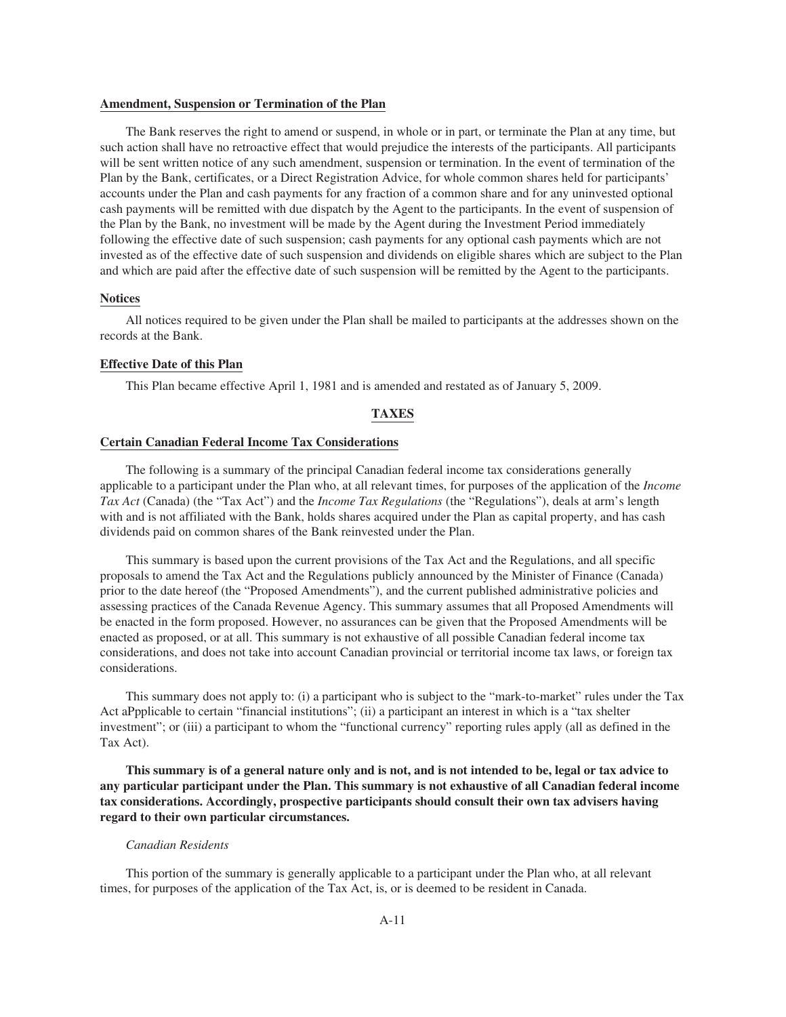#### **Amendment, Suspension or Termination of the Plan**

The Bank reserves the right to amend or suspend, in whole or in part, or terminate the Plan at any time, but such action shall have no retroactive effect that would prejudice the interests of the participants. All participants will be sent written notice of any such amendment, suspension or termination. In the event of termination of the Plan by the Bank, certificates, or a Direct Registration Advice, for whole common shares held for participants' accounts under the Plan and cash payments for any fraction of a common share and for any uninvested optional cash payments will be remitted with due dispatch by the Agent to the participants. In the event of suspension of the Plan by the Bank, no investment will be made by the Agent during the Investment Period immediately following the effective date of such suspension; cash payments for any optional cash payments which are not invested as of the effective date of such suspension and dividends on eligible shares which are subject to the Plan and which are paid after the effective date of such suspension will be remitted by the Agent to the participants.

#### **Notices**

All notices required to be given under the Plan shall be mailed to participants at the addresses shown on the records at the Bank.

### **Effective Date of this Plan**

This Plan became effective April 1, 1981 and is amended and restated as of January 5, 2009.

### **TAXES**

## **Certain Canadian Federal Income Tax Considerations**

The following is a summary of the principal Canadian federal income tax considerations generally applicable to a participant under the Plan who, at all relevant times, for purposes of the application of the *Income Tax Act* (Canada) (the "Tax Act") and the *Income Tax Regulations* (the "Regulations"), deals at arm's length with and is not affiliated with the Bank, holds shares acquired under the Plan as capital property, and has cash dividends paid on common shares of the Bank reinvested under the Plan.

This summary is based upon the current provisions of the Tax Act and the Regulations, and all specific proposals to amend the Tax Act and the Regulations publicly announced by the Minister of Finance (Canada) prior to the date hereof (the "Proposed Amendments"), and the current published administrative policies and assessing practices of the Canada Revenue Agency. This summary assumes that all Proposed Amendments will be enacted in the form proposed. However, no assurances can be given that the Proposed Amendments will be enacted as proposed, or at all. This summary is not exhaustive of all possible Canadian federal income tax considerations, and does not take into account Canadian provincial or territorial income tax laws, or foreign tax considerations.

This summary does not apply to: (i) a participant who is subject to the "mark-to-market" rules under the Tax Act aPpplicable to certain "financial institutions"; (ii) a participant an interest in which is a "tax shelter investment"; or (iii) a participant to whom the "functional currency" reporting rules apply (all as defined in the Tax Act).

**This summary is of a general nature only and is not, and is not intended to be, legal or tax advice to any particular participant under the Plan. This summary is not exhaustive of all Canadian federal income tax considerations. Accordingly, prospective participants should consult their own tax advisers having regard to their own particular circumstances.**

#### *Canadian Residents*

This portion of the summary is generally applicable to a participant under the Plan who, at all relevant times, for purposes of the application of the Tax Act, is, or is deemed to be resident in Canada.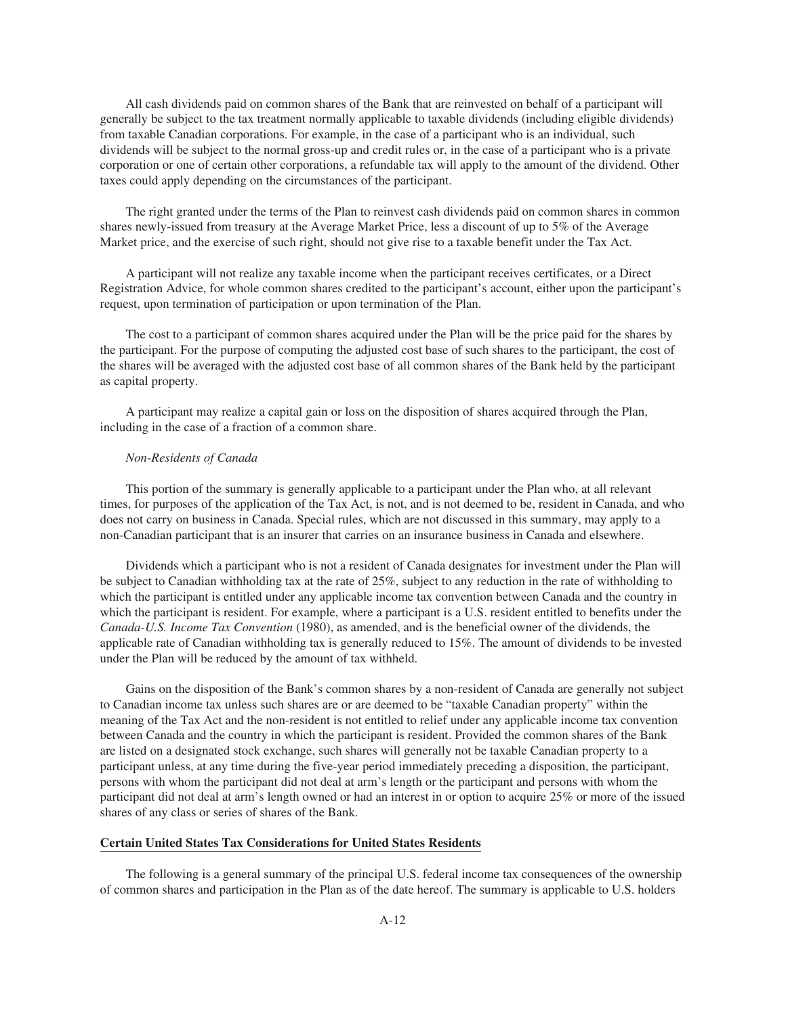All cash dividends paid on common shares of the Bank that are reinvested on behalf of a participant will generally be subject to the tax treatment normally applicable to taxable dividends (including eligible dividends) from taxable Canadian corporations. For example, in the case of a participant who is an individual, such dividends will be subject to the normal gross-up and credit rules or, in the case of a participant who is a private corporation or one of certain other corporations, a refundable tax will apply to the amount of the dividend. Other taxes could apply depending on the circumstances of the participant.

The right granted under the terms of the Plan to reinvest cash dividends paid on common shares in common shares newly-issued from treasury at the Average Market Price, less a discount of up to 5% of the Average Market price, and the exercise of such right, should not give rise to a taxable benefit under the Tax Act.

A participant will not realize any taxable income when the participant receives certificates, or a Direct Registration Advice, for whole common shares credited to the participant's account, either upon the participant's request, upon termination of participation or upon termination of the Plan.

The cost to a participant of common shares acquired under the Plan will be the price paid for the shares by the participant. For the purpose of computing the adjusted cost base of such shares to the participant, the cost of the shares will be averaged with the adjusted cost base of all common shares of the Bank held by the participant as capital property.

A participant may realize a capital gain or loss on the disposition of shares acquired through the Plan, including in the case of a fraction of a common share.

#### *Non-Residents of Canada*

This portion of the summary is generally applicable to a participant under the Plan who, at all relevant times, for purposes of the application of the Tax Act, is not, and is not deemed to be, resident in Canada, and who does not carry on business in Canada. Special rules, which are not discussed in this summary, may apply to a non-Canadian participant that is an insurer that carries on an insurance business in Canada and elsewhere.

Dividends which a participant who is not a resident of Canada designates for investment under the Plan will be subject to Canadian withholding tax at the rate of 25%, subject to any reduction in the rate of withholding to which the participant is entitled under any applicable income tax convention between Canada and the country in which the participant is resident. For example, where a participant is a U.S. resident entitled to benefits under the *Canada-U.S. Income Tax Convention* (1980), as amended, and is the beneficial owner of the dividends, the applicable rate of Canadian withholding tax is generally reduced to 15%. The amount of dividends to be invested under the Plan will be reduced by the amount of tax withheld.

Gains on the disposition of the Bank's common shares by a non-resident of Canada are generally not subject to Canadian income tax unless such shares are or are deemed to be "taxable Canadian property" within the meaning of the Tax Act and the non-resident is not entitled to relief under any applicable income tax convention between Canada and the country in which the participant is resident. Provided the common shares of the Bank are listed on a designated stock exchange, such shares will generally not be taxable Canadian property to a participant unless, at any time during the five-year period immediately preceding a disposition, the participant, persons with whom the participant did not deal at arm's length or the participant and persons with whom the participant did not deal at arm's length owned or had an interest in or option to acquire 25% or more of the issued shares of any class or series of shares of the Bank.

# **Certain United States Tax Considerations for United States Residents**

The following is a general summary of the principal U.S. federal income tax consequences of the ownership of common shares and participation in the Plan as of the date hereof. The summary is applicable to U.S. holders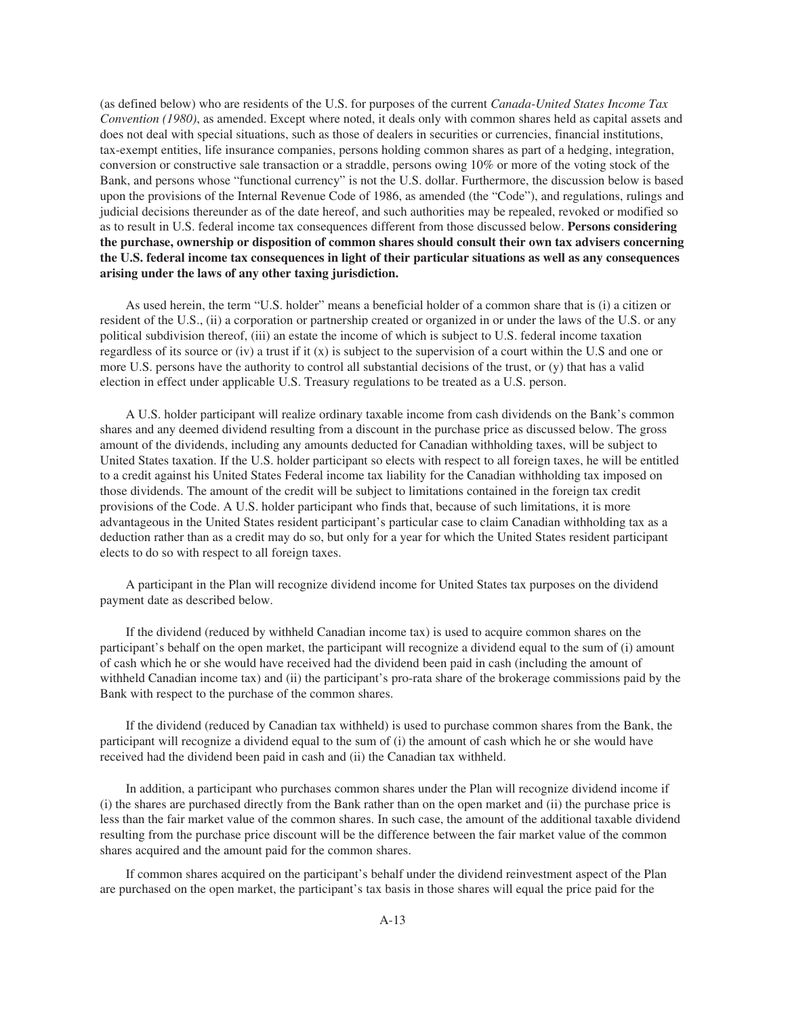(as defined below) who are residents of the U.S. for purposes of the current *Canada-United States Income Tax Convention (1980)*, as amended. Except where noted, it deals only with common shares held as capital assets and does not deal with special situations, such as those of dealers in securities or currencies, financial institutions, tax-exempt entities, life insurance companies, persons holding common shares as part of a hedging, integration, conversion or constructive sale transaction or a straddle, persons owing 10% or more of the voting stock of the Bank, and persons whose "functional currency" is not the U.S. dollar. Furthermore, the discussion below is based upon the provisions of the Internal Revenue Code of 1986, as amended (the "Code"), and regulations, rulings and judicial decisions thereunder as of the date hereof, and such authorities may be repealed, revoked or modified so as to result in U.S. federal income tax consequences different from those discussed below. **Persons considering the purchase, ownership or disposition of common shares should consult their own tax advisers concerning the U.S. federal income tax consequences in light of their particular situations as well as any consequences arising under the laws of any other taxing jurisdiction.**

As used herein, the term "U.S. holder" means a beneficial holder of a common share that is (i) a citizen or resident of the U.S., (ii) a corporation or partnership created or organized in or under the laws of the U.S. or any political subdivision thereof, (iii) an estate the income of which is subject to U.S. federal income taxation regardless of its source or (iv) a trust if it  $(x)$  is subject to the supervision of a court within the U.S and one or more U.S. persons have the authority to control all substantial decisions of the trust, or (y) that has a valid election in effect under applicable U.S. Treasury regulations to be treated as a U.S. person.

A U.S. holder participant will realize ordinary taxable income from cash dividends on the Bank's common shares and any deemed dividend resulting from a discount in the purchase price as discussed below. The gross amount of the dividends, including any amounts deducted for Canadian withholding taxes, will be subject to United States taxation. If the U.S. holder participant so elects with respect to all foreign taxes, he will be entitled to a credit against his United States Federal income tax liability for the Canadian withholding tax imposed on those dividends. The amount of the credit will be subject to limitations contained in the foreign tax credit provisions of the Code. A U.S. holder participant who finds that, because of such limitations, it is more advantageous in the United States resident participant's particular case to claim Canadian withholding tax as a deduction rather than as a credit may do so, but only for a year for which the United States resident participant elects to do so with respect to all foreign taxes.

A participant in the Plan will recognize dividend income for United States tax purposes on the dividend payment date as described below.

If the dividend (reduced by withheld Canadian income tax) is used to acquire common shares on the participant's behalf on the open market, the participant will recognize a dividend equal to the sum of (i) amount of cash which he or she would have received had the dividend been paid in cash (including the amount of withheld Canadian income tax) and (ii) the participant's pro-rata share of the brokerage commissions paid by the Bank with respect to the purchase of the common shares.

If the dividend (reduced by Canadian tax withheld) is used to purchase common shares from the Bank, the participant will recognize a dividend equal to the sum of (i) the amount of cash which he or she would have received had the dividend been paid in cash and (ii) the Canadian tax withheld.

In addition, a participant who purchases common shares under the Plan will recognize dividend income if (i) the shares are purchased directly from the Bank rather than on the open market and (ii) the purchase price is less than the fair market value of the common shares. In such case, the amount of the additional taxable dividend resulting from the purchase price discount will be the difference between the fair market value of the common shares acquired and the amount paid for the common shares.

If common shares acquired on the participant's behalf under the dividend reinvestment aspect of the Plan are purchased on the open market, the participant's tax basis in those shares will equal the price paid for the